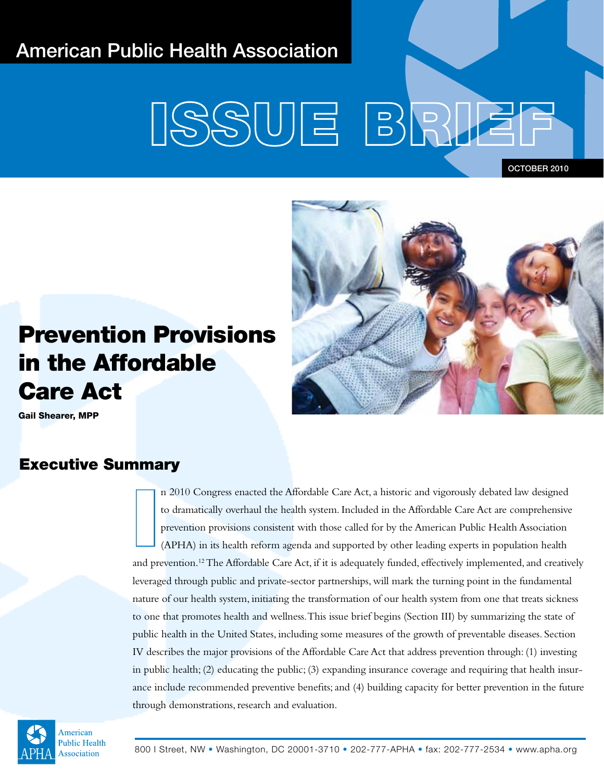# American Public Health Association

# SSUE BRI

OCTOBER 2010



# Prevention Provisions in the Affordable Care Act

Gail Shearer, MPP

# Executive Summary

I n 2010 Congress enacted the Affordable Care Act, a historic and vigorously debated law designed to dramatically overhaul the health system. Included in the Affordable Care Act are comprehensive prevention provisions consistent with those called for by the American Public Health Association (APHA) in its health reform agenda and supported by other leading experts in population health and prevention.<sup>12</sup> The Affordable Care Act, if it is adequately funded, effectively implemented, and creatively leveraged through public and private-sector partnerships, will mark the turning point in the fundamental nature of our health system, initiating the transformation of our health system from one that treats sickness to one that promotes health and wellness. This issue brief begins (Section III) by summarizing the state of public health in the United States, including some measures of the growth of preventable diseases. Section IV describes the major provisions of the Affordable Care Act that address prevention through: (1) investing in public health; (2) educating the public; (3) expanding insurance coverage and requiring that health insurance include recommended preventive benefits; and (4) building capacity for better prevention in the future through demonstrations, research and evaluation.

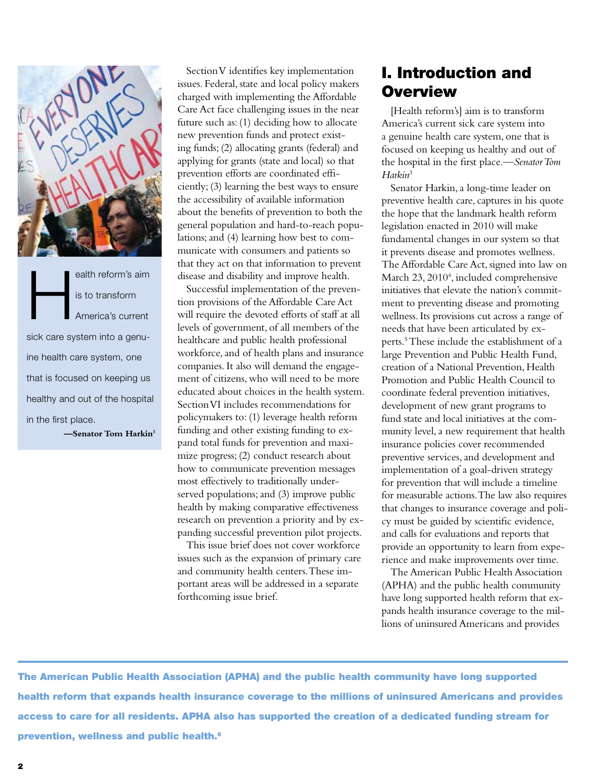

ealth reform's aim<br>
is to transform<br>
America's current is to transform America's current sick care system into a genuine health care system, one that is focused on keeping us healthy and out of the hospital in the first place.

**—Senator Tom Harkin3**

Section V identifies key implementation issues. Federal, state and local policy makers charged with implementing the Affordable Care Act face challenging issues in the near future such as: (1) deciding how to allocate new prevention funds and protect existing funds; (2) allocating grants (federal) and applying for grants (state and local) so that prevention efforts are coordinated efficiently; (3) learning the best ways to ensure the accessibility of available information about the benefits of prevention to both the general population and hard-to-reach populations; and (4) learning how best to communicate with consumers and patients so that they act on that information to prevent disease and disability and improve health.

Successful implementation of the prevention provisions of the Affordable Care Act will require the devoted efforts of staff at all levels of government, of all members of the healthcare and public health professional workforce, and of health plans and insurance companies. It also will demand the engagement of citizens, who will need to be more educated about choices in the health system. Section VI includes recommendations for policymakers to: (1) leverage health reform funding and other existing funding to expand total funds for prevention and maximize progress; (2) conduct research about how to communicate prevention messages most effectively to traditionally underserved populations; and (3) improve public health by making comparative effectiveness research on prevention a priority and by expanding successful prevention pilot projects.

This issue brief does not cover workforce issues such as the expansion of primary care and community health centers. These important areas will be addressed in a separate forthcoming issue brief.

# I. Introduction and **Overview**

[Health reform's] aim is to transform America's current sick care system into a genuine health care system, one that is focused on keeping us healthy and out of the hospital in the first place.—*Senator Tom Harkin*<sup>3</sup>

Senator Harkin, a long-time leader on preventive health care, captures in his quote the hope that the landmark health reform legislation enacted in 2010 will make fundamental changes in our system so that it prevents disease and promotes wellness. The Affordable Care Act, signed into law on March 23, 2010<sup>4</sup>, included comprehensive initiatives that elevate the nation's commitment to preventing disease and promoting wellness. Its provisions cut across a range of needs that have been articulated by experts.5 These include the establishment of a large Prevention and Public Health Fund, creation of a National Prevention, Health Promotion and Public Health Council to coordinate federal prevention initiatives, development of new grant programs to fund state and local initiatives at the community level, a new requirement that health insurance policies cover recommended preventive services, and development and implementation of a goal-driven strategy for prevention that will include a timeline for measurable actions. The law also requires that changes to insurance coverage and policy must be guided by scientific evidence, and calls for evaluations and reports that provide an opportunity to learn from experience and make improvements over time.

The American Public Health Association (APHA) and the public health community have long supported health reform that expands health insurance coverage to the millions of uninsured Americans and provides

The American Public Health Association (APHA) and the public health community have long supported health reform that expands health insurance coverage to the millions of uninsured Americans and provides access to care for all residents. APHA also has supported the creation of a dedicated funding stream for prevention, wellness and public health.<sup>6</sup>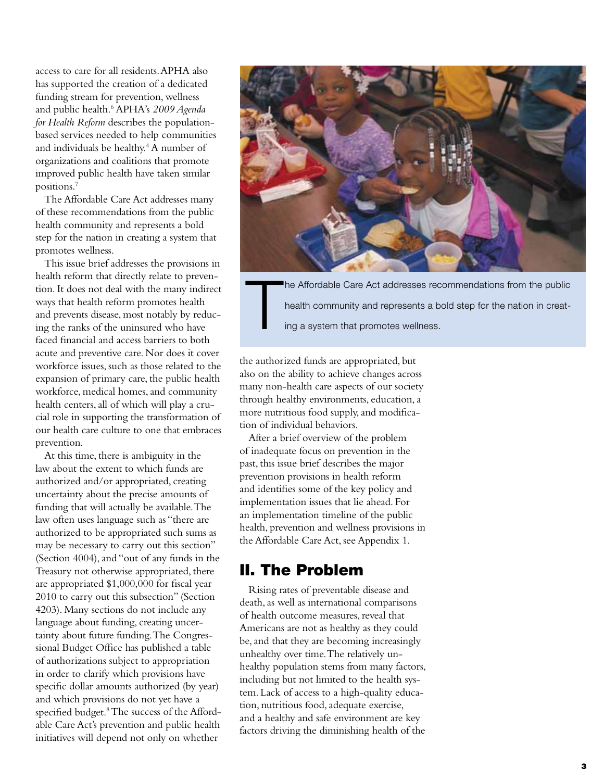access to care for all residents. APHA also has supported the creation of a dedicated funding stream for prevention, wellness and public health.6 APHA's *2009 Agenda for Health Reform* describes the populationbased services needed to help communities and individuals be healthy.<sup>4</sup> A number of organizations and coalitions that promote improved public health have taken similar positions.7

The Affordable Care Act addresses many of these recommendations from the public health community and represents a bold step for the nation in creating a system that promotes wellness.

This issue brief addresses the provisions in health reform that directly relate to prevention. It does not deal with the many indirect ways that health reform promotes health and prevents disease, most notably by reducing the ranks of the uninsured who have faced financial and access barriers to both acute and preventive care. Nor does it cover workforce issues, such as those related to the expansion of primary care, the public health workforce, medical homes, and community health centers, all of which will play a crucial role in supporting the transformation of our health care culture to one that embraces prevention.

At this time, there is ambiguity in the law about the extent to which funds are authorized and/or appropriated, creating uncertainty about the precise amounts of funding that will actually be available. The law often uses language such as "there are authorized to be appropriated such sums as may be necessary to carry out this section" (Section 4004), and "out of any funds in the Treasury not otherwise appropriated, there are appropriated \$1,000,000 for fiscal year 2010 to carry out this subsection" (Section 4203). Many sections do not include any language about funding, creating uncertainty about future funding. The Congressional Budget Office has published a table of authorizations subject to appropriation in order to clarify which provisions have specific dollar amounts authorized (by year) and which provisions do not yet have a specified budget.<sup>8</sup> The success of the Affordable Care Act's prevention and public health initiatives will depend not only on whether



T he Affordable Care Act addresses recommendations from the public health community and represents a bold step for the nation in creating a system that promotes wellness.

the authorized funds are appropriated, but also on the ability to achieve changes across many non-health care aspects of our society through healthy environments, education, a more nutritious food supply, and modification of individual behaviors.

After a brief overview of the problem of inadequate focus on prevention in the past, this issue brief describes the major prevention provisions in health reform and identifies some of the key policy and implementation issues that lie ahead. For an implementation timeline of the public health, prevention and wellness provisions in the Affordable Care Act, see Appendix 1.

## II. The Problem

Rising rates of preventable disease and death, as well as international comparisons of health outcome measures, reveal that Americans are not as healthy as they could be, and that they are becoming increasingly unhealthy over time. The relatively unhealthy population stems from many factors, including but not limited to the health system. Lack of access to a high-quality education, nutritious food, adequate exercise, and a healthy and safe environment are key factors driving the diminishing health of the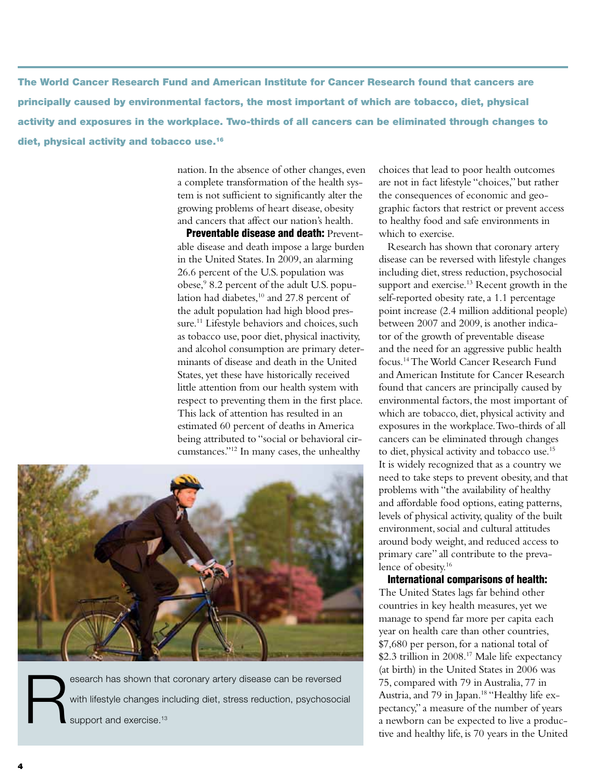The World Cancer Research Fund and American Institute for Cancer Research found that cancers are principally caused by environmental factors, the most important of which are tobacco, diet, physical activity and exposures in the workplace. Two-thirds of all cancers can be eliminated through changes to diet, physical activity and tobacco use.16

> nation. In the absence of other changes, even a complete transformation of the health system is not sufficient to significantly alter the growing problems of heart disease, obesity and cancers that affect our nation's health.

> **Preventable disease and death: Prevent**able disease and death impose a large burden in the United States. In 2009, an alarming 26.6 percent of the U.S. population was obese,9 8.2 percent of the adult U.S. population had diabetes,<sup>10</sup> and 27.8 percent of the adult population had high blood pressure.<sup>11</sup> Lifestyle behaviors and choices, such as tobacco use, poor diet, physical inactivity, and alcohol consumption are primary determinants of disease and death in the United States, yet these have historically received little attention from our health system with respect to preventing them in the first place. This lack of attention has resulted in an estimated 60 percent of deaths in America being attributed to "social or behavioral circumstances."12 In many cases, the unhealthy



esearch has shown that coronary artery disease can be reversed<br>with lifestyle changes including diet, stress reduction, psychosocial<br>support and exercise.<sup>13</sup> with lifestyle changes including diet, stress reduction, psychosocial support and exercise.<sup>13</sup>

choices that lead to poor health outcomes are not in fact lifestyle "choices," but rather the consequences of economic and geographic factors that restrict or prevent access to healthy food and safe environments in which to exercise.

Research has shown that coronary artery disease can be reversed with lifestyle changes including diet, stress reduction, psychosocial support and exercise.<sup>13</sup> Recent growth in the self-reported obesity rate, a 1.1 percentage point increase (2.4 million additional people) between 2007 and 2009, is another indicator of the growth of preventable disease and the need for an aggressive public health focus.14 The World Cancer Research Fund and American Institute for Cancer Research found that cancers are principally caused by environmental factors, the most important of which are tobacco, diet, physical activity and exposures in the workplace. Two-thirds of all cancers can be eliminated through changes to diet, physical activity and tobacco use.15 It is widely recognized that as a country we need to take steps to prevent obesity, and that problems with "the availability of healthy and affordable food options, eating patterns, levels of physical activity, quality of the built environment, social and cultural attitudes around body weight, and reduced access to primary care" all contribute to the prevalence of obesity.16

International comparisons of health: The United States lags far behind other countries in key health measures, yet we manage to spend far more per capita each year on health care than other countries, \$7,680 per person, for a national total of \$2.3 trillion in 2008.17 Male life expectancy (at birth) in the United States in 2006 was 75, compared with 79 in Australia, 77 in Austria, and 79 in Japan.<sup>18</sup> "Healthy life expectancy," a measure of the number of years a newborn can be expected to live a productive and healthy life, is 70 years in the United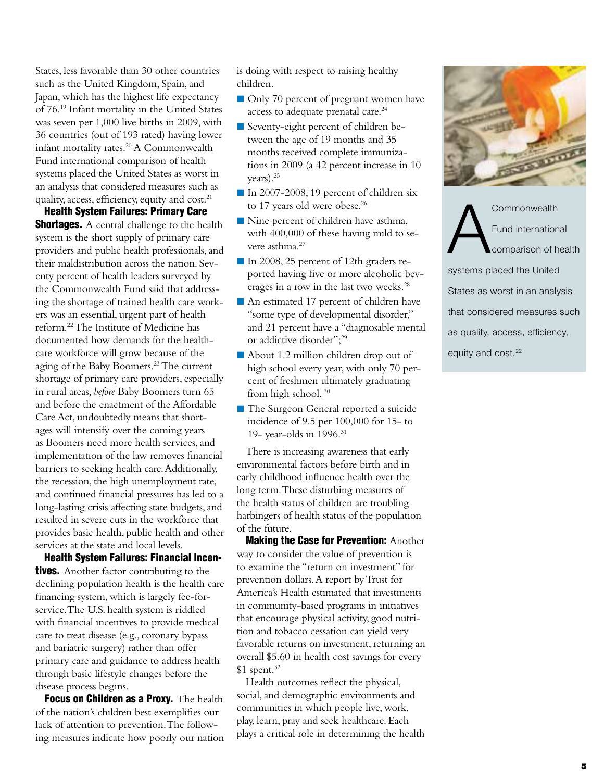States, less favorable than 30 other countries such as the United Kingdom, Spain, and Japan, which has the highest life expectancy of 76.19 Infant mortality in the United States was seven per 1,000 live births in 2009, with 36 countries (out of 193 rated) having lower infant mortality rates.<sup>20</sup> A Commonwealth Fund international comparison of health systems placed the United States as worst in an analysis that considered measures such as quality, access, efficiency, equity and cost.<sup>21</sup>

Health System Failures: Primary Care

**Shortages.** A central challenge to the health system is the short supply of primary care providers and public health professionals, and their maldistribution across the nation. Seventy percent of health leaders surveyed by the Commonwealth Fund said that addressing the shortage of trained health care workers was an essential, urgent part of health reform.22 The Institute of Medicine has documented how demands for the healthcare workforce will grow because of the aging of the Baby Boomers.23 The current shortage of primary care providers, especially in rural areas*, before* Baby Boomers turn 65 and before the enactment of the Affordable Care Act, undoubtedly means that shortages will intensify over the coming years as Boomers need more health services, and implementation of the law removes financial barriers to seeking health care. Additionally, the recession, the high unemployment rate, and continued financial pressures has led to a long-lasting crisis affecting state budgets, and resulted in severe cuts in the workforce that provides basic health, public health and other services at the state and local levels.

Health System Failures: Financial Incen**tives.** Another factor contributing to the declining population health is the health care financing system, which is largely fee-forservice. The U.S. health system is riddled with financial incentives to provide medical care to treat disease (e.g., coronary bypass and bariatric surgery) rather than offer primary care and guidance to address health through basic lifestyle changes before the disease process begins.

Focus on Children as a Proxy. The health of the nation's children best exemplifies our lack of attention to prevention. The following measures indicate how poorly our nation is doing with respect to raising healthy children.

- Only 70 percent of pregnant women have access to adequate prenatal care.<sup>24</sup>
- Seventy-eight percent of children between the age of 19 months and 35 months received complete immunizations in 2009 (a 42 percent increase in 10 years).25
- In 2007-2008, 19 percent of children six to 17 years old were obese.<sup>26</sup>
- Nine percent of children have asthma, with 400,000 of these having mild to severe asthma.27
- In 2008, 25 percent of 12th graders reported having five or more alcoholic beverages in a row in the last two weeks.28
- An estimated 17 percent of children have "some type of developmental disorder," and 21 percent have a "diagnosable mental or addictive disorder";29
- About 1.2 million children drop out of high school every year, with only 70 percent of freshmen ultimately graduating from high school. 30
- **The Surgeon General reported a suicide** incidence of 9.5 per 100,000 for 15- to 19- year-olds in 1996.31

There is increasing awareness that early environmental factors before birth and in early childhood influence health over the long term. These disturbing measures of the health status of children are troubling harbingers of health status of the population of the future.

Making the Case for Prevention: Another way to consider the value of prevention is to examine the "return on investment" for prevention dollars. A report by Trust for America's Health estimated that investments in community-based programs in initiatives that encourage physical activity, good nutrition and tobacco cessation can yield very favorable returns on investment, returning an overall \$5.60 in health cost savings for every  $$1$  spent.<sup>32</sup>

Health outcomes reflect the physical, social, and demographic environments and communities in which people live, work, play, learn, pray and seek healthcare. Each plays a critical role in determining the health



Commonwealth<br>Fund internation<br>Comparison of h Fund international comparison of health systems placed the United States as worst in an analysis that considered measures such as quality, access, efficiency, equity and cost.<sup>22</sup>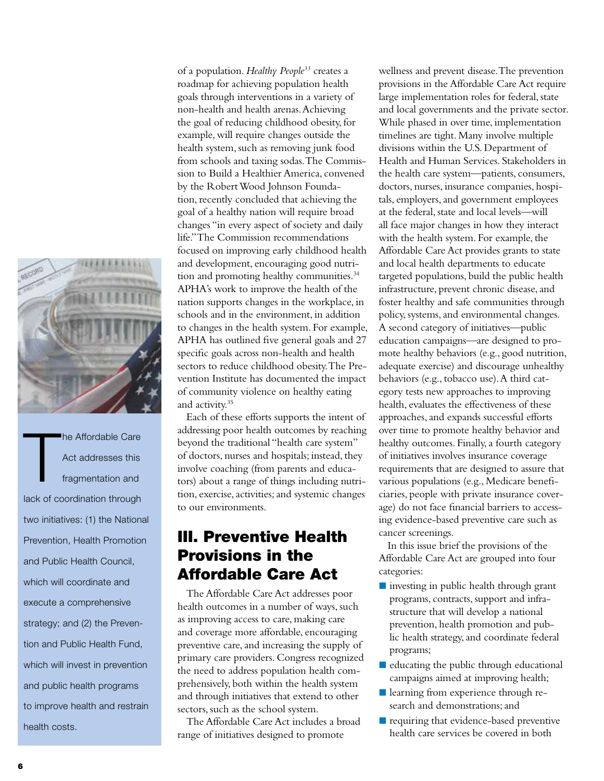

T he Affordable Care Act addresses this fragmentation and lack of coordination through two initiatives: (1) the National Prevention, Health Promotion and Public Health Council, which will coordinate and execute a comprehensive strategy; and (2) the Prevention and Public Health Fund, which will invest in prevention and public health programs to improve health and restrain health costs.

of a population. *Healthy People33* creates a roadmap for achieving population health goals through interventions in a variety of non-health and health arenas. Achieving the goal of reducing childhood obesity, for example, will require changes outside the health system, such as removing junk food from schools and taxing sodas. The Commission to Build a Healthier America, convened by the Robert Wood Johnson Foundation, recently concluded that achieving the goal of a healthy nation will require broad changes "in every aspect of society and daily life." The Commission recommendations focused on improving early childhood health and development, encouraging good nutrition and promoting healthy communities.<sup>34</sup> APHA's work to improve the health of the nation supports changes in the workplace, in schools and in the environment, in addition to changes in the health system. For example, APHA has outlined five general goals and 27 specific goals across non-health and health sectors to reduce childhood obesity. The Prevention Institute has documented the impact of community violence on healthy eating and activity.<sup>35</sup>

Each of these efforts supports the intent of addressing poor health outcomes by reaching beyond the traditional "health care system" of doctors, nurses and hospitals; instead, they involve coaching (from parents and educators) about a range of things including nutrition, exercise, activities; and systemic changes to our environments.

# III. Preventive Health Provisions in the Affordable Care Act

The Affordable Care Act addresses poor health outcomes in a number of ways, such as improving access to care, making care and coverage more affordable, encouraging preventive care, and increasing the supply of primary care providers. Congress recognized the need to address population health comprehensively, both within the health system and through initiatives that extend to other sectors, such as the school system.

The Affordable Care Act includes a broad range of initiatives designed to promote

wellness and prevent disease. The prevention provisions in the Affordable Care Act require large implementation roles for federal, state and local governments and the private sector. While phased in over time, implementation timelines are tight. Many involve multiple divisions within the U.S. Department of Health and Human Services. Stakeholders in the health care system—patients, consumers, doctors, nurses, insurance companies, hospitals, employers, and government employees at the federal, state and local levels—will all face major changes in how they interact with the health system. For example, the Affordable Care Act provides grants to state and local health departments to educate targeted populations, build the public health infrastructure, prevent chronic disease, and foster healthy and safe communities through policy, systems, and environmental changes. A second category of initiatives—public education campaigns—are designed to promote healthy behaviors (e.g., good nutrition, adequate exercise) and discourage unhealthy behaviors (e.g., tobacco use). A third category tests new approaches to improving health, evaluates the effectiveness of these approaches, and expands successful efforts over time to promote healthy behavior and healthy outcomes. Finally, a fourth category of initiatives involves insurance coverage requirements that are designed to assure that various populations (e.g., Medicare beneficiaries, people with private insurance coverage) do not face financial barriers to accessing evidence-based preventive care such as cancer screenings.

In this issue brief the provisions of the Affordable Care Act are grouped into four categories:

- investing in public health through grant programs, contracts, support and infrastructure that will develop a national prevention, health promotion and public health strategy, and coordinate federal programs;
- $\blacksquare$  educating the public through educational campaigns aimed at improving health;
- learning from experience through research and demonstrations; and
- requiring that evidence-based preventive health care services be covered in both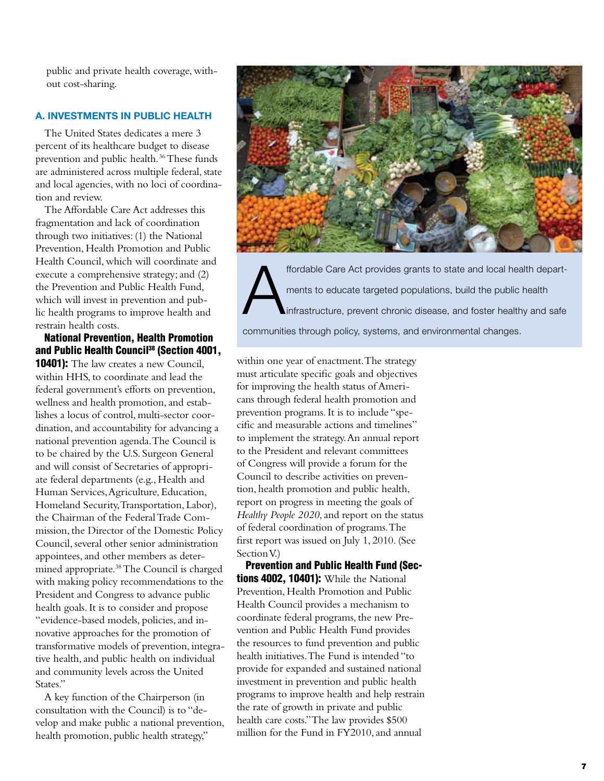public and private health coverage, without cost-sharing.

#### **A. Investments in Public Health**

The United States dedicates a mere 3 percent of its healthcare budget to disease prevention and public health. 36 These funds are administered across multiple federal, state and local agencies, with no loci of coordination and review.

The Affordable Care Act addresses this fragmentation and lack of coordination through two initiatives: (1) the National Prevention, Health Promotion and Public Health Council, which will coordinate and execute a comprehensive strategy; and (2) the Prevention and Public Health Fund, which will invest in prevention and public health programs to improve health and restrain health costs.

#### National Prevention, Health Promotion and Public Health Council<sup>38</sup> (Section 4001,

**10401):** The law creates a new Council, within HHS, to coordinate and lead the federal government's efforts on prevention, wellness and health promotion, and establishes a locus of control, multi-sector coordination, and accountability for advancing a national prevention agenda. The Council is to be chaired by the U.S. Surgeon General and will consist of Secretaries of appropriate federal departments (e.g., Health and Human Services, Agriculture, Education, Homeland Security, Transportation, Labor), the Chairman of the Federal Trade Commission, the Director of the Domestic Policy Council, several other senior administration appointees, and other members as determined appropriate.38 The Council is charged with making policy recommendations to the President and Congress to advance public health goals. It is to consider and propose "evidence-based models, policies, and innovative approaches for the promotion of transformative models of prevention, integrative health, and public health on individual and community levels across the United States."

A key function of the Chairperson (in consultation with the Council) is to "develop and make public a national prevention, health promotion, public health strategy,"



ffordable Care Act provides grants to state and local health depart-<br>ments to educate targeted populations, build the public health<br>infrastructure, prevent chronic disease, and foster healthy and safe ments to educate targeted populations, build the public health infrastructure, prevent chronic disease, and foster healthy and safe

communities through policy, systems, and environmental changes.

within one year of enactment. The strategy must articulate specific goals and objectives for improving the health status of Americans through federal health promotion and prevention programs. It is to include "specific and measurable actions and timelines" to implement the strategy. An annual report to the President and relevant committees of Congress will provide a forum for the Council to describe activities on prevention, health promotion and public health, report on progress in meeting the goals of *Healthy People 2020*, and report on the status of federal coordination of programs. The first report was issued on July 1, 2010. (See Section V.)

Prevention and Public Health Fund (Sec**tions 4002, 10401):** While the National Prevention, Health Promotion and Public Health Council provides a mechanism to coordinate federal programs, the new Prevention and Public Health Fund provides the resources to fund prevention and public health initiatives. The Fund is intended "to provide for expanded and sustained national investment in prevention and public health programs to improve health and help restrain the rate of growth in private and public health care costs." The law provides \$500 million for the Fund in FY2010, and annual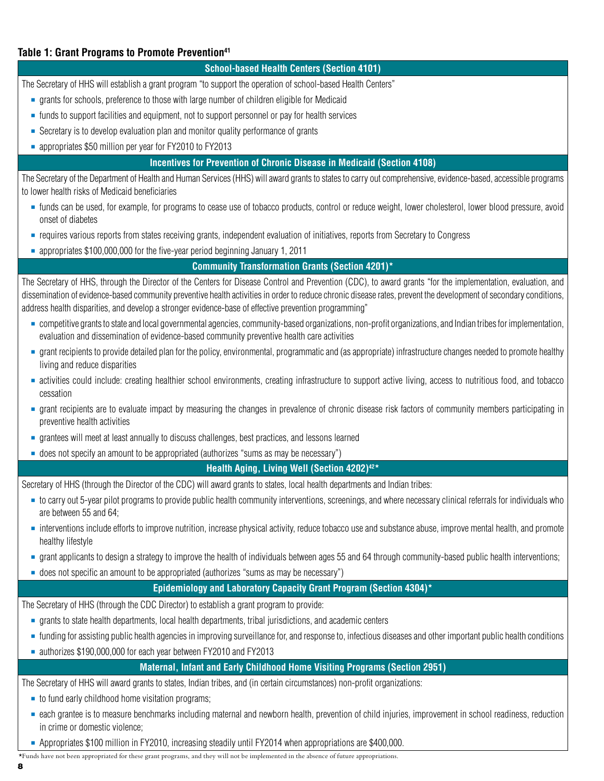#### Table 1: Grant Programs to Promote Prevention<sup>41</sup>

#### **School-based Health Centers (Section 4101)**

The Secretary of HHS will establish a grant program "to support the operation of school-based Health Centers"

- grants for schools, preference to those with large number of children eligible for Medicaid
- funds to support facilities and equipment, not to support personnel or pay for health services
- Secretary is to develop evaluation plan and monitor quality performance of grants
- appropriates \$50 million per year for FY2010 to FY2013

#### **Incentives for Prevention of Chronic Disease in Medicaid (Section 4108)**

The Secretary of the Department of Health and Human Services (HHS) will award grants to states to carry out comprehensive, evidence-based, accessible programs to lower health risks of Medicaid beneficiaries

- funds can be used, for example, for programs to cease use of tobacco products, control or reduce weight, lower cholesterol, lower blood pressure, avoid onset of diabetes
- requires various reports from states receiving grants, independent evaluation of initiatives, reports from Secretary to Congress
- appropriates \$100,000,000 for the five-year period beginning January 1, 2011

#### **Community Transformation Grants (Section 4201)\***

The Secretary of HHS, through the Director of the Centers for Disease Control and Prevention (CDC), to award grants "for the implementation, evaluation, and dissemination of evidence-based community preventive health activities in order to reduce chronic disease rates, prevent the development of secondary conditions, address health disparities, and develop a stronger evidence-base of effective prevention programming"

- competitive grants to state and local governmental agencies, community-based organizations, non-profit organizations, and Indian tribes for implementation, evaluation and dissemination of evidence-based community preventive health care activities
- grant recipients to provide detailed plan for the policy, environmental, programmatic and (as appropriate) infrastructure changes needed to promote healthy living and reduce disparities
- activities could include: creating healthier school environments, creating infrastructure to support active living, access to nutritious food, and tobacco cessation
- grant recipients are to evaluate impact by measuring the changes in prevalence of chronic disease risk factors of community members participating in preventive health activities
- grantees will meet at least annually to discuss challenges, best practices, and lessons learned
- does not specify an amount to be appropriated (authorizes "sums as may be necessary")

#### **Health Aging, Living Well (Section 4202)42\***

Secretary of HHS (through the Director of the CDC) will award grants to states, local health departments and Indian tribes:

- to carry out 5-year pilot programs to provide public health community interventions, screenings, and where necessary clinical referrals for individuals who are between 55 and 64;
- interventions include efforts to improve nutrition, increase physical activity, reduce tobacco use and substance abuse, improve mental health, and promote healthy lifestyle
- grant applicants to design a strategy to improve the health of individuals between ages 55 and 64 through community-based public health interventions;
- does not specific an amount to be appropriated (authorizes "sums as may be necessary")

#### **Epidemiology and Laboratory Capacity Grant Program (Section 4304)\***

The Secretary of HHS (through the CDC Director) to establish a grant program to provide:

- grants to state health departments, local health departments, tribal jurisdictions, and academic centers
- funding for assisting public health agencies in improving surveillance for, and response to, infectious diseases and other important public health conditions
- authorizes \$190,000,000 for each year between FY2010 and FY2013

#### **Maternal, Infant and Early Childhood Home Visiting Programs (Section 2951)**

The Secretary of HHS will award grants to states, Indian tribes, and (in certain circumstances) non-profit organizations:

- to fund early childhood home visitation programs;
- **Example is to measure benchmarks including maternal and newborn health, prevention of child injuries, improvement in school readiness, reduction in school readiness, reduction in school readiness, reduction** in crime or domestic violence;
- Appropriates \$100 million in FY2010, increasing steadily until FY2014 when appropriations are \$400,000.

\*Funds have not been appropriated for these grant programs, and they will not be implemented in the absence of future appropriations.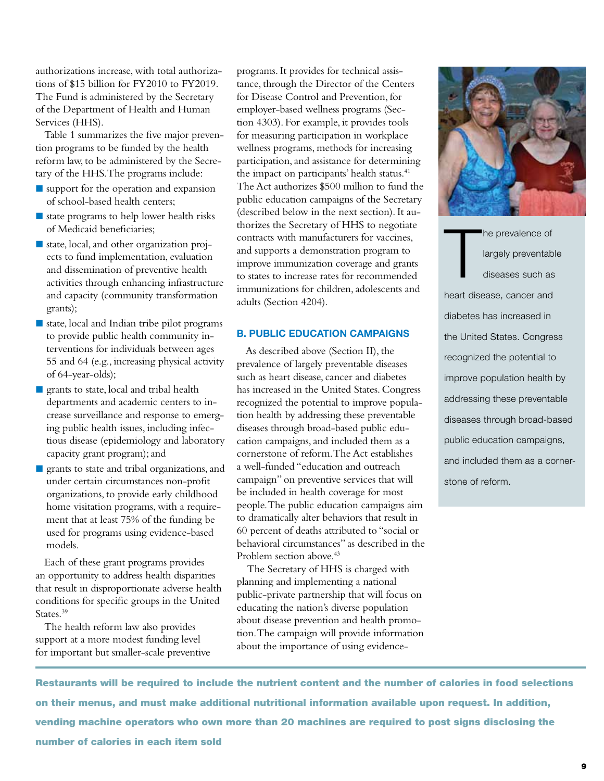authorizations increase, with total authorizations of \$15 billion for FY2010 to FY2019. The Fund is administered by the Secretary of the Department of Health and Human Services (HHS).

Table 1 summarizes the five major prevention programs to be funded by the health reform law, to be administered by the Secretary of the HHS. The programs include:

- support for the operation and expansion of school-based health centers;
- $\blacksquare$  state programs to help lower health risks of Medicaid beneficiaries;
- state, local, and other organization projects to fund implementation, evaluation and dissemination of preventive health activities through enhancing infrastructure and capacity (community transformation grants);
- $\blacksquare$  state, local and Indian tribe pilot programs to provide public health community interventions for individuals between ages 55 and 64 (e.g., increasing physical activity of 64-year-olds);
- **grants to state, local and tribal health** departments and academic centers to increase surveillance and response to emerging public health issues, including infectious disease (epidemiology and laboratory capacity grant program); and
- grants to state and tribal organizations, and under certain circumstances non-profit organizations, to provide early childhood home visitation programs, with a requirement that at least 75% of the funding be used for programs using evidence-based models.

Each of these grant programs provides an opportunity to address health disparities that result in disproportionate adverse health conditions for specific groups in the United States.<sup>39</sup>

The health reform law also provides support at a more modest funding level for important but smaller-scale preventive

programs. It provides for technical assistance, through the Director of the Centers for Disease Control and Prevention, for employer-based wellness programs (Section 4303). For example, it provides tools for measuring participation in workplace wellness programs, methods for increasing participation, and assistance for determining the impact on participants' health status.<sup>41</sup> The Act authorizes \$500 million to fund the public education campaigns of the Secretary (described below in the next section). It authorizes the Secretary of HHS to negotiate contracts with manufacturers for vaccines, and supports a demonstration program to improve immunization coverage and grants to states to increase rates for recommended immunizations for children, adolescents and adults (Section 4204).

#### **B. Public Education Campaigns**

As described above (Section II), the prevalence of largely preventable diseases such as heart disease, cancer and diabetes has increased in the United States. Congress recognized the potential to improve population health by addressing these preventable diseases through broad-based public education campaigns, and included them as a cornerstone of reform. The Act establishes a well-funded "education and outreach campaign" on preventive services that will be included in health coverage for most people. The public education campaigns aim to dramatically alter behaviors that result in 60 percent of deaths attributed to "social or behavioral circumstances" as described in the Problem section above.<sup>43</sup>

 The Secretary of HHS is charged with planning and implementing a national public-private partnership that will focus on educating the nation's diverse population about disease prevention and health promotion. The campaign will provide information about the importance of using evidence-



T he prevalence of largely preventable diseases such as heart disease, cancer and diabetes has increased in the United States. Congress recognized the potential to improve population health by addressing these preventable diseases through broad-based public education campaigns, and included them as a cornerstone of reform.

Restaurants will be required to include the nutrient content and the number of calories in food selections on their menus, and must make additional nutritional information available upon request. In addition, vending machine operators who own more than 20 machines are required to post signs disclosing the number of calories in each item sold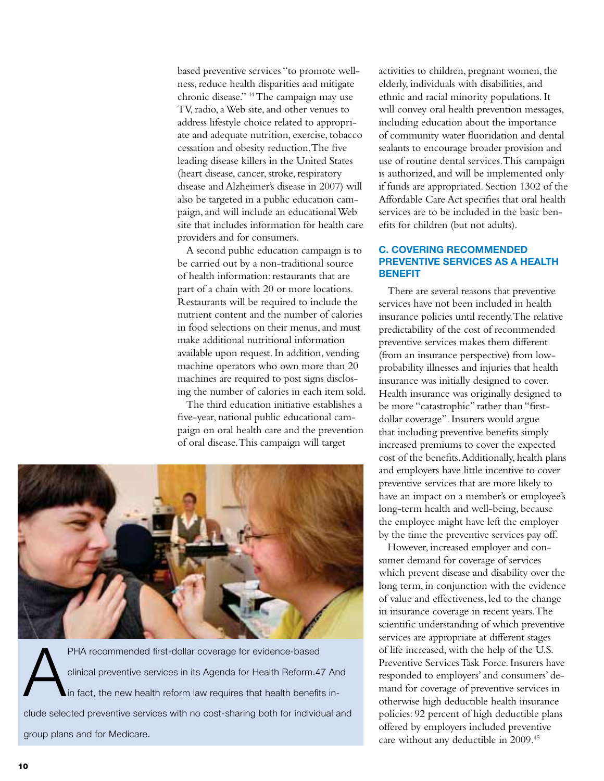based preventive services "to promote wellness, reduce health disparities and mitigate chronic disease." 44 The campaign may use TV, radio, a Web site, and other venues to address lifestyle choice related to appropriate and adequate nutrition, exercise, tobacco cessation and obesity reduction. The five leading disease killers in the United States (heart disease, cancer, stroke, respiratory disease and Alzheimer's disease in 2007) will also be targeted in a public education campaign, and will include an educational Web site that includes information for health care providers and for consumers.

A second public education campaign is to be carried out by a non-traditional source of health information: restaurants that are part of a chain with 20 or more locations. Restaurants will be required to include the nutrient content and the number of calories in food selections on their menus, and must make additional nutritional information available upon request. In addition, vending machine operators who own more than 20 machines are required to post signs disclosing the number of calories in each item sold.

The third education initiative establishes a five-year, national public educational campaign on oral health care and the prevention of oral disease. This campaign will target



PHA recommended first-dollar coverage for evidence-based<br>clinical preventive services in its Agenda for Health Reform.4<br>in fact, the new health reform law requires that health benefit clinical preventive services in its Agenda for Health Reform.47 And in fact, the new health reform law requires that health benefits include selected preventive services with no cost-sharing both for individual and group plans and for Medicare.

activities to children, pregnant women, the elderly, individuals with disabilities, and ethnic and racial minority populations. It will convey oral health prevention messages, including education about the importance of community water fluoridation and dental sealants to encourage broader provision and use of routine dental services. This campaign is authorized, and will be implemented only if funds are appropriated. Section 1302 of the Affordable Care Act specifies that oral health services are to be included in the basic benefits for children (but not adults).

#### **C. Covering Recommended Preventive Services as a Health Benefit**

There are several reasons that preventive services have not been included in health insurance policies until recently. The relative predictability of the cost of recommended preventive services makes them different (from an insurance perspective) from lowprobability illnesses and injuries that health insurance was initially designed to cover. Health insurance was originally designed to be more "catastrophic" rather than "firstdollar coverage". Insurers would argue that including preventive benefits simply increased premiums to cover the expected cost of the benefits. Additionally, health plans and employers have little incentive to cover preventive services that are more likely to have an impact on a member's or employee's long-term health and well-being, because the employee might have left the employer by the time the preventive services pay off.

However, increased employer and consumer demand for coverage of services which prevent disease and disability over the long term, in conjunction with the evidence of value and effectiveness, led to the change in insurance coverage in recent years. The scientific understanding of which preventive services are appropriate at different stages of life increased, with the help of the U.S. Preventive Services Task Force. Insurers have responded to employers' and consumers' demand for coverage of preventive services in otherwise high deductible health insurance policies: 92 percent of high deductible plans offered by employers included preventive care without any deductible in 2009.45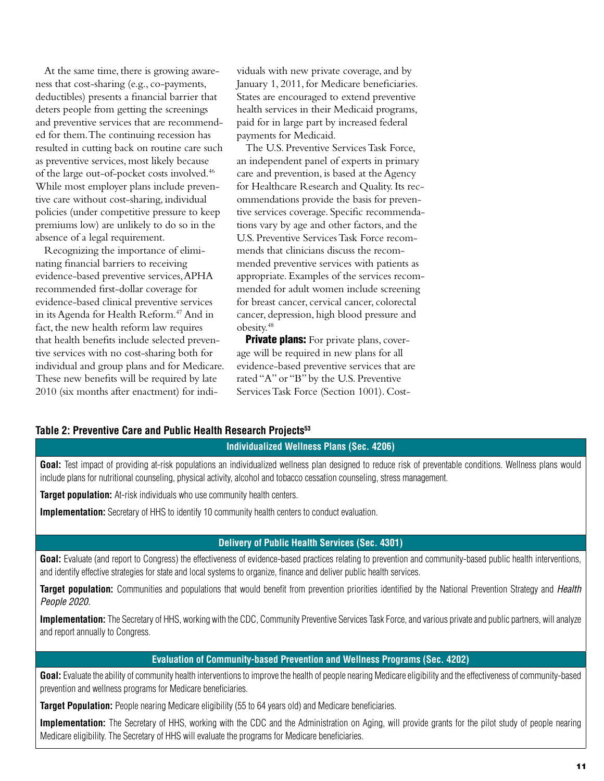At the same time, there is growing awareness that cost-sharing (e.g., co-payments, deductibles) presents a financial barrier that deters people from getting the screenings and preventive services that are recommended for them. The continuing recession has resulted in cutting back on routine care such as preventive services, most likely because of the large out-of-pocket costs involved.46 While most employer plans include preventive care without cost-sharing, individual policies (under competitive pressure to keep premiums low) are unlikely to do so in the absence of a legal requirement.

Recognizing the importance of eliminating financial barriers to receiving evidence-based preventive services, APHA recommended first-dollar coverage for evidence-based clinical preventive services in its Agenda for Health Reform.<sup>47</sup> And in fact, the new health reform law requires that health benefits include selected preventive services with no cost-sharing both for individual and group plans and for Medicare. These new benefits will be required by late 2010 (six months after enactment) for individuals with new private coverage, and by January 1, 2011, for Medicare beneficiaries. States are encouraged to extend preventive health services in their Medicaid programs, paid for in large part by increased federal payments for Medicaid.

The U.S. Preventive Services Task Force, an independent panel of experts in primary care and prevention, is based at the Agency for Healthcare Research and Quality. Its recommendations provide the basis for preventive services coverage. Specific recommendations vary by age and other factors, and the U.S. Preventive Services Task Force recommends that clinicians discuss the recommended preventive services with patients as appropriate. Examples of the services recommended for adult women include screening for breast cancer, cervical cancer, colorectal cancer, depression, high blood pressure and obesity.48

**Private plans:** For private plans, coverage will be required in new plans for all evidence-based preventive services that are rated "A" or "B" by the U.S. Preventive Services Task Force (Section 1001). Cost-

#### **Table 2: Preventive Care and Public Health Research Projects53**

#### **Individualized Wellness Plans (Sec. 4206)**

Goal: Test impact of providing at-risk populations an individualized wellness plan designed to reduce risk of preventable conditions. Wellness plans would include plans for nutritional counseling, physical activity, alcohol and tobacco cessation counseling, stress management.

**Target population:** At-risk individuals who use community health centers.

**Implementation:** Secretary of HHS to identify 10 community health centers to conduct evaluation.

#### **Delivery of Public Health Services (Sec. 4301)**

Goal: Evaluate (and report to Congress) the effectiveness of evidence-based practices relating to prevention and community-based public health interventions, and identify effective strategies for state and local systems to organize, finance and deliver public health services.

**Target population:** Communities and populations that would benefit from prevention priorities identified by the National Prevention Strategy and *Health People 2020.*

**Implementation:** The Secretary of HHS, working with the CDC, Community Preventive Services Task Force, and various private and public partners, will analyze and report annually to Congress.

#### **Evaluation of Community-based Prevention and Wellness Programs (Sec. 4202)**

**Goal:** Evaluate the ability of community health interventions to improve the health of people nearing Medicare eligibility and the effectiveness of community-based prevention and wellness programs for Medicare beneficiaries.

**Target Population:** People nearing Medicare eligibility (55 to 64 years old) and Medicare beneficiaries.

**Implementation:** The Secretary of HHS, working with the CDC and the Administration on Aging, will provide grants for the pilot study of people nearing Medicare eligibility. The Secretary of HHS will evaluate the programs for Medicare beneficiaries.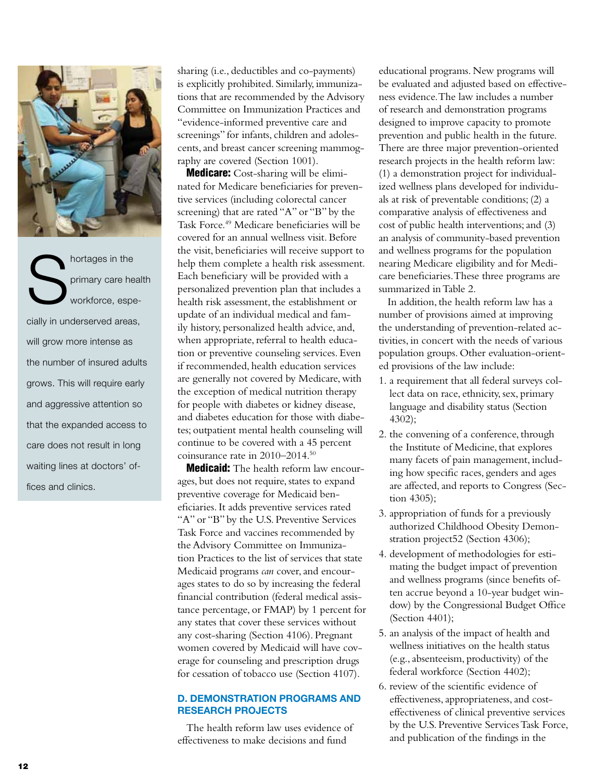

Shortages in the primary care he<br>
workforce, espe primary care health workforce, especially in underserved areas, will grow more intense as the number of insured adults grows. This will require early and aggressive attention so that the expanded access to care does not result in long waiting lines at doctors' offices and clinics.

sharing (i.e., deductibles and co-payments) is explicitly prohibited. Similarly, immunizations that are recommended by the Advisory Committee on Immunization Practices and "evidence-informed preventive care and screenings" for infants, children and adolescents, and breast cancer screening mammography are covered (Section 1001).

Medicare: Cost-sharing will be eliminated for Medicare beneficiaries for preventive services (including colorectal cancer screening) that are rated "A" or "B" by the Task Force.<sup>49</sup> Medicare beneficiaries will be covered for an annual wellness visit. Before the visit, beneficiaries will receive support to help them complete a health risk assessment. Each beneficiary will be provided with a personalized prevention plan that includes a health risk assessment, the establishment or update of an individual medical and family history, personalized health advice, and, when appropriate, referral to health education or preventive counseling services. Even if recommended, health education services are generally not covered by Medicare, with the exception of medical nutrition therapy for people with diabetes or kidney disease, and diabetes education for those with diabetes; outpatient mental health counseling will continue to be covered with a 45 percent coinsurance rate in 2010–2014.50

**Medicaid:** The health reform law encourages, but does not require, states to expand preventive coverage for Medicaid beneficiaries. It adds preventive services rated "A" or "B" by the U.S. Preventive Services Task Force and vaccines recommended by the Advisory Committee on Immunization Practices to the list of services that state Medicaid programs *can* cover, and encourages states to do so by increasing the federal financial contribution (federal medical assistance percentage, or FMAP) by 1 percent for any states that cover these services without any cost-sharing (Section 4106). Pregnant women covered by Medicaid will have coverage for counseling and prescription drugs for cessation of tobacco use (Section 4107).

#### **D. Demonstration Programs and Research Projects**

The health reform law uses evidence of effectiveness to make decisions and fund

educational programs. New programs will be evaluated and adjusted based on effectiveness evidence. The law includes a number of research and demonstration programs designed to improve capacity to promote prevention and public health in the future. There are three major prevention-oriented research projects in the health reform law: (1) a demonstration project for individualized wellness plans developed for individuals at risk of preventable conditions; (2) a comparative analysis of effectiveness and cost of public health interventions; and (3) an analysis of community-based prevention and wellness programs for the population nearing Medicare eligibility and for Medicare beneficiaries. These three programs are summarized in Table 2.

In addition, the health reform law has a number of provisions aimed at improving the understanding of prevention-related activities, in concert with the needs of various population groups. Other evaluation-oriented provisions of the law include:

- 1. a requirement that all federal surveys collect data on race, ethnicity, sex, primary language and disability status (Section 4302);
- 2. the convening of a conference, through the Institute of Medicine, that explores many facets of pain management, including how specific races, genders and ages are affected, and reports to Congress (Section 4305);
- 3. appropriation of funds for a previously authorized Childhood Obesity Demonstration project52 (Section 4306);
- 4. development of methodologies for estimating the budget impact of prevention and wellness programs (since benefits often accrue beyond a 10-year budget window) by the Congressional Budget Office (Section 4401);
- 5. an analysis of the impact of health and wellness initiatives on the health status (e.g., absenteeism, productivity) of the federal workforce (Section 4402);
- 6. review of the scientific evidence of effectiveness, appropriateness, and costeffectiveness of clinical preventive services by the U.S. Preventive Services Task Force, and publication of the findings in the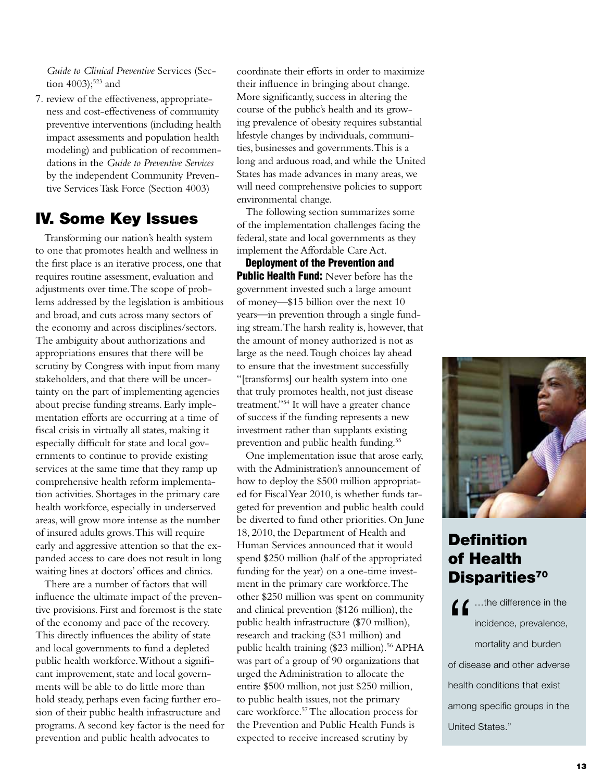*Guide to Clinical Preventive* Services (Section  $4003$ );<sup>523</sup> and

7. review of the effectiveness, appropriateness and cost-effectiveness of community preventive interventions (including health impact assessments and population health modeling) and publication of recommendations in the *Guide to Preventive Services*  by the independent Community Preventive Services Task Force (Section 4003)

### IV. Some Key Issues

Transforming our nation's health system to one that promotes health and wellness in the first place is an iterative process, one that requires routine assessment, evaluation and adjustments over time. The scope of problems addressed by the legislation is ambitious and broad, and cuts across many sectors of the economy and across disciplines/sectors. The ambiguity about authorizations and appropriations ensures that there will be scrutiny by Congress with input from many stakeholders, and that there will be uncertainty on the part of implementing agencies about precise funding streams. Early implementation efforts are occurring at a time of fiscal crisis in virtually all states, making it especially difficult for state and local governments to continue to provide existing services at the same time that they ramp up comprehensive health reform implementation activities. Shortages in the primary care health workforce, especially in underserved areas, will grow more intense as the number of insured adults grows. This will require early and aggressive attention so that the expanded access to care does not result in long waiting lines at doctors' offices and clinics.

There are a number of factors that will influence the ultimate impact of the preventive provisions. First and foremost is the state of the economy and pace of the recovery. This directly influences the ability of state and local governments to fund a depleted public health workforce. Without a significant improvement, state and local governments will be able to do little more than hold steady, perhaps even facing further erosion of their public health infrastructure and programs. A second key factor is the need for prevention and public health advocates to

coordinate their efforts in order to maximize their influence in bringing about change. More significantly, success in altering the course of the public's health and its growing prevalence of obesity requires substantial lifestyle changes by individuals, communities, businesses and governments. This is a long and arduous road, and while the United States has made advances in many areas, we will need comprehensive policies to support environmental change.

The following section summarizes some of the implementation challenges facing the federal, state and local governments as they implement the Affordable Care Act.

Deployment of the Prevention and **Public Health Fund:** Never before has the government invested such a large amount of money—\$15 billion over the next 10 years—in prevention through a single funding stream. The harsh reality is, however, that the amount of money authorized is not as large as the need. Tough choices lay ahead to ensure that the investment successfully "[transforms] our health system into one that truly promotes health, not just disease treatment."54 It will have a greater chance of success if the funding represents a new investment rather than supplants existing prevention and public health funding.55

One implementation issue that arose early, with the Administration's announcement of how to deploy the \$500 million appropriated for Fiscal Year 2010, is whether funds targeted for prevention and public health could be diverted to fund other priorities. On June 18, 2010, the Department of Health and Human Services announced that it would spend \$250 million (half of the appropriated funding for the year) on a one-time investment in the primary care workforce. The other \$250 million was spent on community and clinical prevention (\$126 million), the public health infrastructure (\$70 million), research and tracking (\$31 million) and public health training (\$23 million).<sup>56</sup> APHA was part of a group of 90 organizations that urged the Administration to allocate the entire \$500 million, not just \$250 million, to public health issues, not the primary care workforce.57 The allocation process for the Prevention and Public Health Funds is expected to receive increased scrutiny by



# **Definition** of Health Disparities<sup>70</sup>

for the difference in the<br>incidence, prevalence,<br>mortality and burden incidence, prevalence, mortality and burden of disease and other adverse health conditions that exist among specific groups in the United States."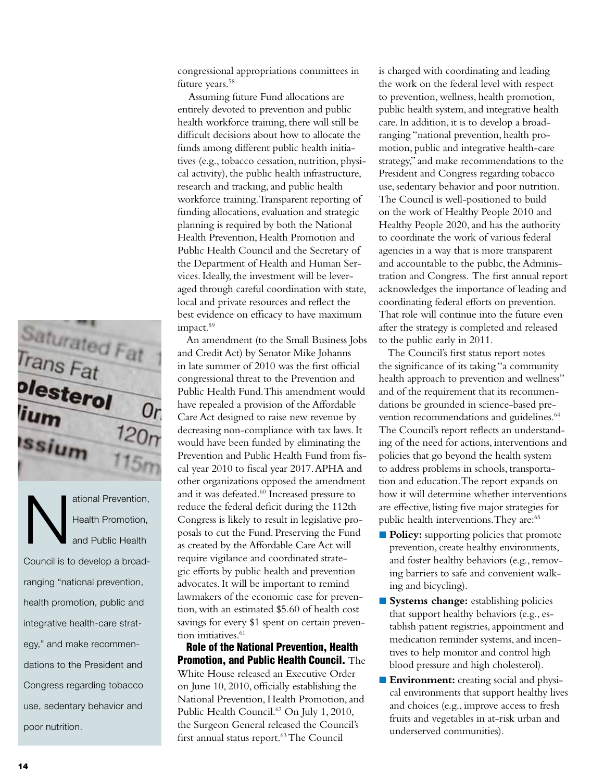

ational Prevention,<br>Health Promotion,<br>and Public Health Health Promotion, and Public Health Council is to develop a broadranging "national prevention, health promotion, public and integrative health-care strategy," and make recommendations to the President and Congress regarding tobacco use, sedentary behavior and poor nutrition.

congressional appropriations committees in future years.<sup>58</sup>

 Assuming future Fund allocations are entirely devoted to prevention and public health workforce training, there will still be difficult decisions about how to allocate the funds among different public health initiatives (e.g., tobacco cessation, nutrition, physical activity), the public health infrastructure, research and tracking, and public health workforce training. Transparent reporting of funding allocations, evaluation and strategic planning is required by both the National Health Prevention, Health Promotion and Public Health Council and the Secretary of the Department of Health and Human Services. Ideally, the investment will be leveraged through careful coordination with state, local and private resources and reflect the best evidence on efficacy to have maximum impact.<sup>59</sup>

An amendment (to the Small Business Jobs and Credit Act) by Senator Mike Johanns in late summer of 2010 was the first official congressional threat to the Prevention and Public Health Fund. This amendment would have repealed a provision of the Affordable Care Act designed to raise new revenue by decreasing non-compliance with tax laws. It would have been funded by eliminating the Prevention and Public Health Fund from fiscal year 2010 to fiscal year 2017. APHA and other organizations opposed the amendment and it was defeated.<sup>60</sup> Increased pressure to reduce the federal deficit during the 112th Congress is likely to result in legislative proposals to cut the Fund. Preserving the Fund as created by the Affordable Care Act will require vigilance and coordinated strategic efforts by public health and prevention advocates. It will be important to remind lawmakers of the economic case for prevention, with an estimated \$5.60 of health cost savings for every \$1 spent on certain prevention initiatives.<sup>61</sup>

Role of the National Prevention, Health Promotion, and Public Health Council. The White House released an Executive Order on June 10, 2010, officially establishing the National Prevention, Health Promotion, and Public Health Council.<sup>62</sup> On July 1, 2010, the Surgeon General released the Council's first annual status report.<sup>63</sup> The Council

is charged with coordinating and leading the work on the federal level with respect to prevention, wellness, health promotion, public health system, and integrative health care. In addition, it is to develop a broadranging "national prevention, health promotion, public and integrative health-care strategy," and make recommendations to the President and Congress regarding tobacco use, sedentary behavior and poor nutrition. The Council is well-positioned to build on the work of Healthy People 2010 and Healthy People 2020, and has the authority to coordinate the work of various federal agencies in a way that is more transparent and accountable to the public, the Administration and Congress. The first annual report acknowledges the importance of leading and coordinating federal efforts on prevention. That role will continue into the future even after the strategy is completed and released to the public early in 2011.

The Council's first status report notes the significance of its taking "a community health approach to prevention and wellness" and of the requirement that its recommendations be grounded in science-based prevention recommendations and guidelines.<sup>64</sup> The Council's report reflects an understanding of the need for actions, interventions and policies that go beyond the health system to address problems in schools, transportation and education. The report expands on how it will determine whether interventions are effective, listing five major strategies for public health interventions. They are:<sup>65</sup>

- **Policy:** supporting policies that promote prevention, create healthy environments, and foster healthy behaviors (e.g., removing barriers to safe and convenient walking and bicycling).
- **Systems change:** establishing policies that support healthy behaviors (e.g., establish patient registries, appointment and medication reminder systems, and incentives to help monitor and control high blood pressure and high cholesterol).
- **Environment:** creating social and physical environments that support healthy lives and choices (e.g., improve access to fresh fruits and vegetables in at-risk urban and underserved communities).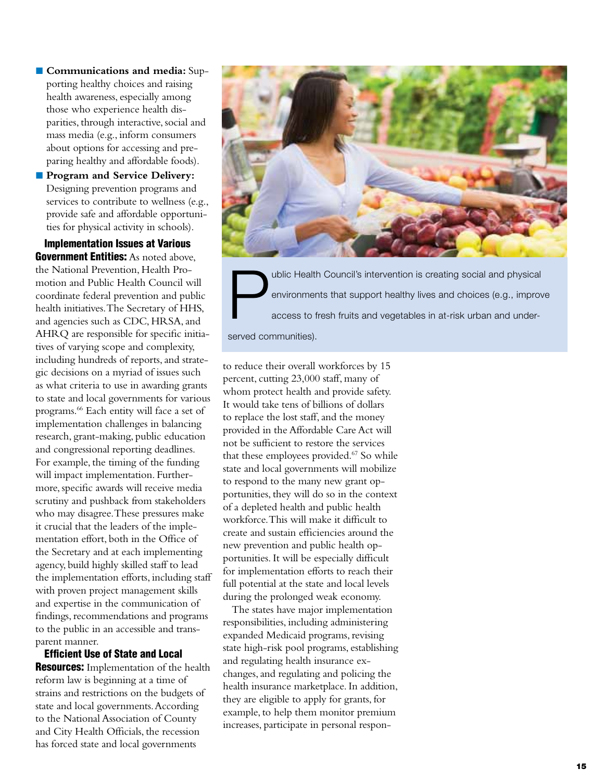- **Communications and media:** Supporting healthy choices and raising health awareness, especially among those who experience health disparities, through interactive, social and mass media (e.g., inform consumers about options for accessing and preparing healthy and affordable foods).
- **Program and Service Delivery:** Designing prevention programs and services to contribute to wellness (e.g., provide safe and affordable opportunities for physical activity in schools).

Implementation Issues at Various **Government Entities:** As noted above. the National Prevention, Health Promotion and Public Health Council will coordinate federal prevention and public health initiatives. The Secretary of HHS, and agencies such as CDC, HRSA, and AHRQ are responsible for specific initiatives of varying scope and complexity, including hundreds of reports, and strategic decisions on a myriad of issues such as what criteria to use in awarding grants to state and local governments for various programs.66 Each entity will face a set of implementation challenges in balancing research, grant-making, public education and congressional reporting deadlines. For example, the timing of the funding will impact implementation. Furthermore, specific awards will receive media scrutiny and pushback from stakeholders who may disagree. These pressures make it crucial that the leaders of the implementation effort, both in the Office of the Secretary and at each implementing agency, build highly skilled staff to lead the implementation efforts, including staff with proven project management skills and expertise in the communication of findings, recommendations and programs to the public in an accessible and transparent manner.

Efficient Use of State and Local **Resources:** Implementation of the health reform law is beginning at a time of strains and restrictions on the budgets of state and local governments. According to the National Association of County and City Health Officials, the recession has forced state and local governments



ublic Health Council's intervention is creating social and physical<br>environments that support healthy lives and choices (e.g., improv<br>access to fresh fruits and vegetables in at-risk urban and underenvironments that support healthy lives and choices (e.g., improve access to fresh fruits and vegetables in at-risk urban and underserved communities).

to reduce their overall workforces by 15 percent, cutting 23,000 staff, many of whom protect health and provide safety. It would take tens of billions of dollars to replace the lost staff, and the money provided in the Affordable Care Act will not be sufficient to restore the services that these employees provided.<sup>67</sup> So while state and local governments will mobilize to respond to the many new grant opportunities, they will do so in the context of a depleted health and public health workforce. This will make it difficult to create and sustain efficiencies around the new prevention and public health opportunities. It will be especially difficult for implementation efforts to reach their full potential at the state and local levels during the prolonged weak economy.

The states have major implementation responsibilities, including administering expanded Medicaid programs, revising state high-risk pool programs, establishing and regulating health insurance exchanges, and regulating and policing the health insurance marketplace. In addition, they are eligible to apply for grants, for example, to help them monitor premium increases, participate in personal respon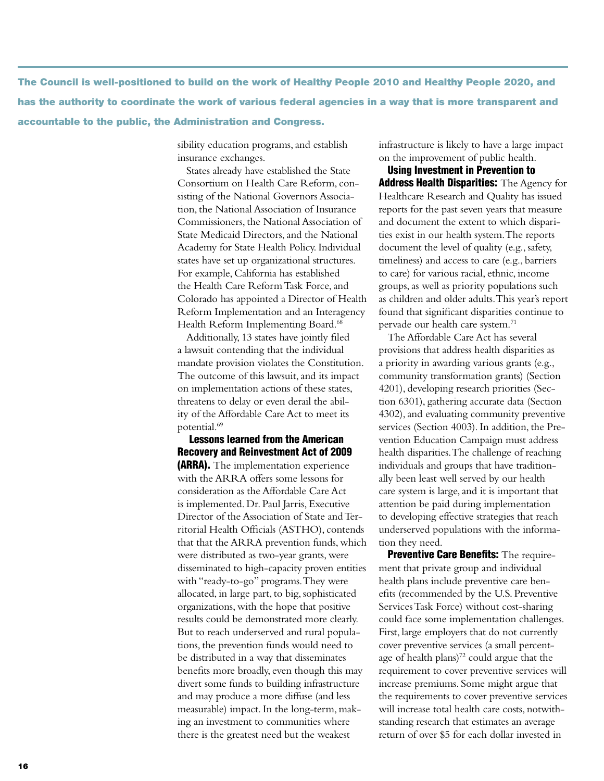The Council is well-positioned to build on the work of Healthy People 2010 and Healthy People 2020, and has the authority to coordinate the work of various federal agencies in a way that is more transparent and accountable to the public, the Administration and Congress.

> sibility education programs, and establish insurance exchanges.

States already have established the State Consortium on Health Care Reform, consisting of the National Governors Association, the National Association of Insurance Commissioners, the National Association of State Medicaid Directors, and the National Academy for State Health Policy. Individual states have set up organizational structures. For example, California has established the Health Care Reform Task Force, and Colorado has appointed a Director of Health Reform Implementation and an Interagency Health Reform Implementing Board.<sup>68</sup>

Additionally, 13 states have jointly filed a lawsuit contending that the individual mandate provision violates the Constitution. The outcome of this lawsuit, and its impact on implementation actions of these states, threatens to delay or even derail the ability of the Affordable Care Act to meet its potential.69

Lessons learned from the American Recovery and Reinvestment Act of 2009 (ARRA). The implementation experience with the ARRA offers some lessons for consideration as the Affordable Care Act is implemented. Dr. Paul Jarris, Executive Director of the Association of State and Territorial Health Officials (ASTHO), contends that that the ARRA prevention funds, which were distributed as two-year grants, were disseminated to high-capacity proven entities with "ready-to-go" programs. They were allocated, in large part, to big, sophisticated organizations, with the hope that positive results could be demonstrated more clearly. But to reach underserved and rural populations, the prevention funds would need to be distributed in a way that disseminates benefits more broadly, even though this may divert some funds to building infrastructure and may produce a more diffuse (and less measurable) impact. In the long-term, making an investment to communities where there is the greatest need but the weakest

infrastructure is likely to have a large impact on the improvement of public health.

Using Investment in Prevention to **Address Health Disparities:** The Agency for Healthcare Research and Quality has issued reports for the past seven years that measure and document the extent to which disparities exist in our health system. The reports document the level of quality (e.g., safety, timeliness) and access to care (e.g., barriers to care) for various racial, ethnic, income groups, as well as priority populations such as children and older adults. This year's report found that significant disparities continue to pervade our health care system.71

The Affordable Care Act has several provisions that address health disparities as a priority in awarding various grants (e.g., community transformation grants) (Section 4201), developing research priorities (Section 6301), gathering accurate data (Section 4302), and evaluating community preventive services (Section 4003). In addition, the Prevention Education Campaign must address health disparities. The challenge of reaching individuals and groups that have traditionally been least well served by our health care system is large, and it is important that attention be paid during implementation to developing effective strategies that reach underserved populations with the information they need.

Preventive Care Benefits: The requirement that private group and individual health plans include preventive care benefits (recommended by the U.S. Preventive Services Task Force) without cost-sharing could face some implementation challenges. First, large employers that do not currently cover preventive services (a small percentage of health plans)<sup>72</sup> could argue that the requirement to cover preventive services will increase premiums. Some might argue that the requirements to cover preventive services will increase total health care costs, notwithstanding research that estimates an average return of over \$5 for each dollar invested in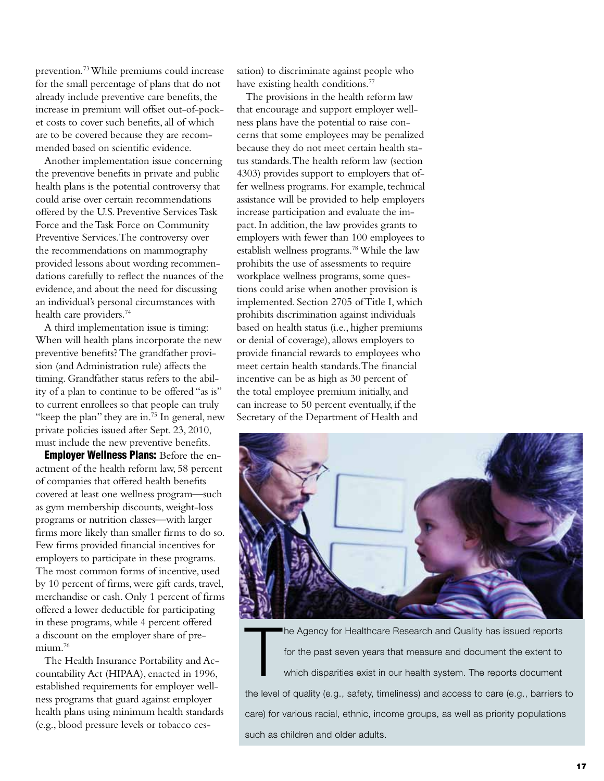prevention.73 While premiums could increase for the small percentage of plans that do not already include preventive care benefits, the increase in premium will offset out-of-pocket costs to cover such benefits, all of which are to be covered because they are recommended based on scientific evidence.

Another implementation issue concerning the preventive benefits in private and public health plans is the potential controversy that could arise over certain recommendations offered by the U.S. Preventive Services Task Force and the Task Force on Community Preventive Services. The controversy over the recommendations on mammography provided lessons about wording recommendations carefully to reflect the nuances of the evidence, and about the need for discussing an individual's personal circumstances with health care providers.<sup>74</sup>

A third implementation issue is timing: When will health plans incorporate the new preventive benefits? The grandfather provision (and Administration rule) affects the timing. Grandfather status refers to the ability of a plan to continue to be offered "as is" to current enrollees so that people can truly "keep the plan" they are in.<sup>75</sup> In general, new private policies issued after Sept. 23, 2010, must include the new preventive benefits.

**Employer Wellness Plans:** Before the enactment of the health reform law, 58 percent of companies that offered health benefits covered at least one wellness program—such as gym membership discounts, weight-loss programs or nutrition classes—with larger firms more likely than smaller firms to do so. Few firms provided financial incentives for employers to participate in these programs. The most common forms of incentive, used by 10 percent of firms, were gift cards, travel, merchandise or cash. Only 1 percent of firms offered a lower deductible for participating in these programs, while 4 percent offered a discount on the employer share of premium.<sup>76</sup>

The Health Insurance Portability and Accountability Act (HIPAA), enacted in 1996, established requirements for employer wellness programs that guard against employer health plans using minimum health standards (e.g., blood pressure levels or tobacco cessation) to discriminate against people who have existing health conditions.<sup>77</sup>

The provisions in the health reform law that encourage and support employer wellness plans have the potential to raise concerns that some employees may be penalized because they do not meet certain health status standards. The health reform law (section 4303) provides support to employers that offer wellness programs. For example, technical assistance will be provided to help employers increase participation and evaluate the impact. In addition, the law provides grants to employers with fewer than 100 employees to establish wellness programs.78 While the law prohibits the use of assessments to require workplace wellness programs, some questions could arise when another provision is implemented. Section 2705 of Title I, which prohibits discrimination against individuals based on health status (i.e., higher premiums or denial of coverage), allows employers to provide financial rewards to employees who meet certain health standards. The financial incentive can be as high as 30 percent of the total employee premium initially, and can increase to 50 percent eventually, if the Secretary of the Department of Health and



T he Agency for Healthcare Research and Quality has issued reports for the past seven years that measure and document the extent to which disparities exist in our health system. The reports document the level of quality (e.g., safety, timeliness) and access to care (e.g., barriers to care) for various racial, ethnic, income groups, as well as priority populations such as children and older adults.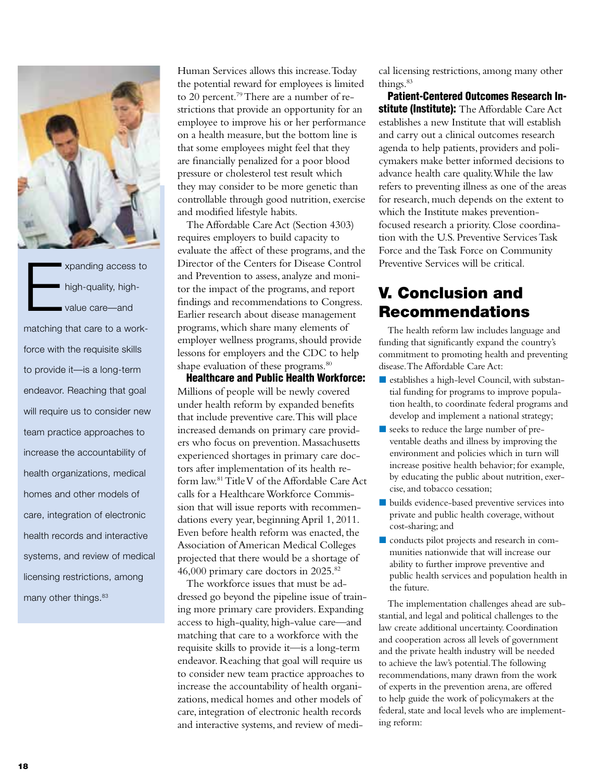

E xpanding access to high-quality, highvalue care—and matching that care to a workforce with the requisite skills to provide it—is a long-term endeavor. Reaching that goal will require us to consider new team practice approaches to increase the accountability of health organizations, medical homes and other models of care, integration of electronic health records and interactive systems, and review of medical licensing restrictions, among many other things.<sup>83</sup>

Human Services allows this increase. Today the potential reward for employees is limited to 20 percent.<sup>79</sup> There are a number of restrictions that provide an opportunity for an employee to improve his or her performance on a health measure, but the bottom line is that some employees might feel that they are financially penalized for a poor blood pressure or cholesterol test result which they may consider to be more genetic than controllable through good nutrition, exercise and modified lifestyle habits.

The Affordable Care Act (Section 4303) requires employers to build capacity to evaluate the affect of these programs, and the Director of the Centers for Disease Control and Prevention to assess, analyze and monitor the impact of the programs, and report findings and recommendations to Congress. Earlier research about disease management programs, which share many elements of employer wellness programs, should provide lessons for employers and the CDC to help shape evaluation of these programs.<sup>80</sup>

Healthcare and Public Health Workforce: Millions of people will be newly covered under health reform by expanded benefits that include preventive care. This will place increased demands on primary care providers who focus on prevention. Massachusetts experienced shortages in primary care doctors after implementation of its health reform law.81 Title V of the Affordable Care Act calls for a Healthcare Workforce Commission that will issue reports with recommendations every year, beginning April 1, 2011. Even before health reform was enacted, the Association of American Medical Colleges projected that there would be a shortage of 46,000 primary care doctors in 2025.82

The workforce issues that must be addressed go beyond the pipeline issue of training more primary care providers. Expanding access to high-quality, high-value care—and matching that care to a workforce with the requisite skills to provide it—is a long-term endeavor. Reaching that goal will require us to consider new team practice approaches to increase the accountability of health organizations, medical homes and other models of care, integration of electronic health records and interactive systems, and review of medical licensing restrictions, among many other things.<sup>83</sup>

Patient-Centered Outcomes Research Institute (Institute): The Affordable Care Act establishes a new Institute that will establish and carry out a clinical outcomes research agenda to help patients, providers and policymakers make better informed decisions to advance health care quality. While the law refers to preventing illness as one of the areas for research, much depends on the extent to which the Institute makes preventionfocused research a priority. Close coordination with the U.S. Preventive Services Task Force and the Task Force on Community Preventive Services will be critical.

# V. Conclusion and Recommendations

The health reform law includes language and funding that significantly expand the country's commitment to promoting health and preventing disease. The Affordable Care Act:

- establishes a high-level Council, with substantial funding for programs to improve population health, to coordinate federal programs and develop and implement a national strategy;
- seeks to reduce the large number of preventable deaths and illness by improving the environment and policies which in turn will increase positive health behavior; for example, by educating the public about nutrition, exercise, and tobacco cessation;
- builds evidence-based preventive services into private and public health coverage, without cost-sharing; and
- conducts pilot projects and research in communities nationwide that will increase our ability to further improve preventive and public health services and population health in the future.

The implementation challenges ahead are substantial, and legal and political challenges to the law create additional uncertainty. Coordination and cooperation across all levels of government and the private health industry will be needed to achieve the law's potential. The following recommendations, many drawn from the work of experts in the prevention arena, are offered to help guide the work of policymakers at the federal, state and local levels who are implementing reform: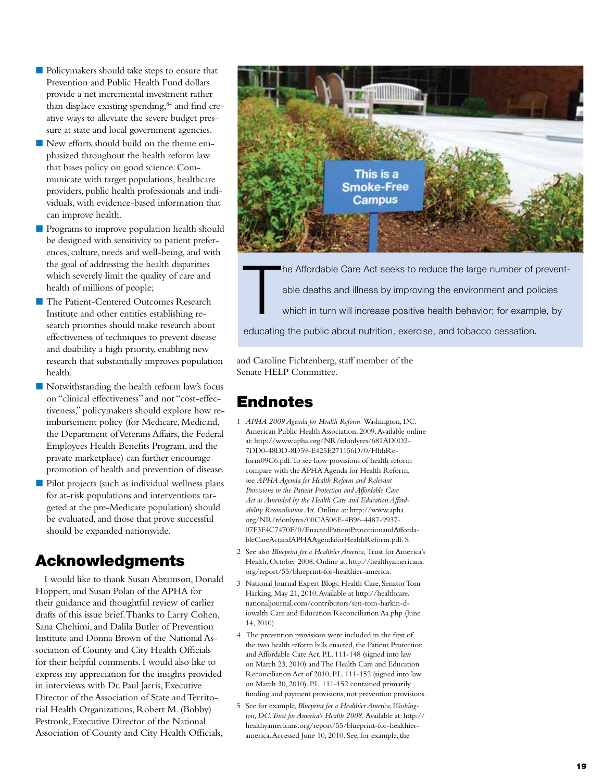- **Policymakers should take steps to ensure that** Prevention and Public Health Fund dollars provide a net incremental investment rather than displace existing spending,<sup>84</sup> and find creative ways to alleviate the severe budget pressure at state and local government agencies.
- New efforts should build on the theme emphasized throughout the health reform law that bases policy on good science. Communicate with target populations, healthcare providers, public health professionals and individuals, with evidence-based information that can improve health.
- **Programs to improve population health should** be designed with sensitivity to patient preferences, culture, needs and well-being, and with the goal of addressing the health disparities which severely limit the quality of care and health of millions of people;
- The Patient-Centered Outcomes Research Institute and other entities establishing research priorities should make research about effectiveness of techniques to prevent disease and disability a high priority, enabling new research that substantially improves population health.
- Notwithstanding the health reform law's focus on "clinical effectiveness" and not "cost-effectiveness," policymakers should explore how reimbursement policy (for Medicare, Medicaid, the Department of Veterans Affairs, the Federal Employees Health Benefits Program, and the private marketplace) can further encourage promotion of health and prevention of disease.
- **Pilot projects (such as individual wellness plans** for at-risk populations and interventions targeted at the pre-Medicare population) should be evaluated, and those that prove successful should be expanded nationwide.

# Acknowledgments

I would like to thank Susan Abramson, Donald Hoppert, and Susan Polan of the APHA for their guidance and thoughtful review of earlier drafts of this issue brief. Thanks to Larry Cohen, Sana Chehimi, and Dalila Butler of Prevention Institute and Donna Brown of the National Association of County and City Health Officials for their helpful comments. I would also like to express my appreciation for the insights provided in interviews with Dr. Paul Jarris, Executive Director of the Association of State and Territorial Health Organizations, Robert M. (Bobby) Pestronk, Executive Director of the National Association of County and City Health Officials,



T he Affordable Care Act seeks to reduce the large number of preventable deaths and illness by improving the environment and policies which in turn will increase positive health behavior; for example, by educating the public about nutrition, exercise, and tobacco cessation.

and Caroline Fichtenberg, staff member of the Senate HELP Committee.

# Endnotes

- 1 *APHA 2009 Agenda for Health Reform.* Washington, DC: American Public Health Association, 2009. Available online at: http://www.apha.org/NR/rdonlyres/681AD0D2- 7DD0-48DD-8D59-E425E271156D/0/HlthReform09C6.pdf. To see how provisions of health reform compare with the APHA Agenda for Health Reform, see *APHA Agenda for Health Reform and Relevant Provisions in the Patient Protection and Affordable Care Act as Amended by the Health Care and Education Affordability Reconciliation Act.* Online at: http://www.apha. org/NR/rdonlyres/00CA506E-4B96-4487-9937- 07F3F4C7470F/0/EnactedPatientProtectionandAffordableCareActandAPHAAgendaforHealthReform.pdf. S
- 2 See also *Blueprint for a Healthier America,* Trust for America's Health, October 2008. Online at: http://healthyamericans. org/report/55/blueprint-for-healthier-america.
- 3 National Journal Expert Blogs: Health Care, Senator Tom Harking, May 21, 2010. Available at http://healthcare. nationaljournal.com/contributors/sen-tom-harkin-diowalth Care and Education Reconciliation Aa.php (June 14, 2010)
- 4 The prevention provisions were included in the first of the two health reform bills enacted, the Patient Protection and Affordable Care Act, P.L. 111-148 (signed into law on March 23, 2010) and The Health Care and Education Reconciliation Act of 2010, P.L. 111-152 (signed into law on March 30, 2010). P.L. 111-152 contained primarily funding and payment provisions, not prevention provisions.
- 5 See for example, *Blueprint for a Healthier America, Washington, DC: Trust for America's Health 2008.* Available at: http:// healthyamericans.org/report/55/blueprint-for-healthieramerica. Accessed June 10, 2010. See, for example, the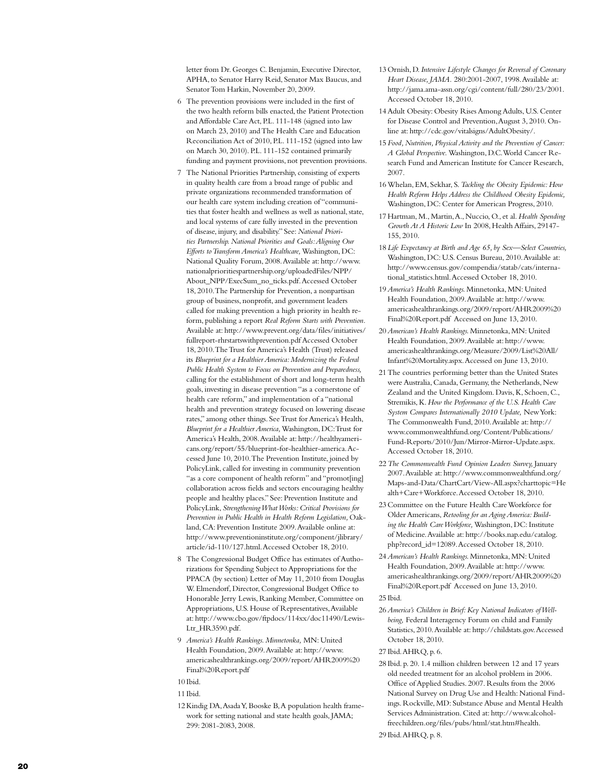letter from Dr. Georges C. Benjamin, Executive Director, APHA, to Senator Harry Reid, Senator Max Baucus, and Senator Tom Harkin, November 20, 2009.

- 6 The prevention provisions were included in the first of the two health reform bills enacted, the Patient Protection and Affordable Care Act, P.L. 111-148 (signed into law on March 23, 2010) and The Health Care and Education Reconciliation Act of 2010, P.L. 111-152 (signed into law on March 30, 2010). P.L. 111-152 contained primarily funding and payment provisions, not prevention provisions.
- 7 The National Priorities Partnership, consisting of experts in quality health care from a broad range of public and private organizations recommended transformation of our health care system including creation of "communi ties that foster health and wellness as well as national, state, and local systems of care fully invested in the prevention of disease, injury, and disability." See: *National Priori ties Partnership. National Priorities and Goals: Aligning Our Efforts to Transform America's Healthcare,* Washington, DC: National Quality Forum, 2008. Available at: http://www. nationalprioritiespartnership.org/uploadedFiles/NPP/ About\_NPP/ExecSum\_no\_ticks.pdf. Accessed October 18, 2010. The Partnership for Prevention, a nonpartisan group of business, nonprofit, and government leaders called for making prevention a high priority in health re form, publishing a report *Real Reform Starts with Prevention.* Available at: http://www.prevent.org/data/files/initiatives/ fullreport-rhrstartswithprevention.pdf Accessed October 18, 2010. The Trust for America's Health (Trust) released its *Blueprint for a Healthier America: Modernizing the Federal Public Health System to Focus on Prevention and Preparedness,*  calling for the establishment of short and long-term health goals, investing in disease prevention "as a cornerstone of health care reform," and implementation of a "national health and prevention strategy focused on lowering disease rates," among other things. See Trust for America's Health, *Blueprint for a Healthier America,* Washington, DC: Trust for America's Health, 2008. Available at: http://healthyameri cans.org/report/55/blueprint-for-healthier-america. Ac cessed June 10, 2010. The Prevention Institute, joined by PolicyLink, called for investing in community prevention "as a core component of health reform" and "promot[ing] collaboration across fields and sectors encouraging healthy people and healthy places." See: Prevention Institute and PolicyLink, *Strengthening What Works: Critical Provisions for*  Prevention in Public Health in Health Reform Legislation, Oakland, CA: Prevention Institute 2009. Available online at: http://www.preventioninstitute.org/component/jlibrary/ article/id-110/127.html. Accessed October 18, 2010.
- 8 The Congressional Budget Office has estimates of Autho rizations for Spending Subject to Appropriations for the PPACA (by section) Letter of May 11, 2010 from Douglas W. Elmendorf, Director, Congressional Budget Office to Honorable Jerry Lewis, Ranking Member, Committee on Appropriations, U.S. House of Representatives, Available at: http://www.cbo.gov/ftpdocs/114xx/doc11490/Lewis - Ltr\_HR3590.pdf.
- 9 *America's Health Rankings. Minnetonka,* MN: United Health Foundation, 2009. Available at: http://www. americashealthrankings.org/2009/report/AHR2009%20 Final%20Report.pdf
- 10 Ibid.
- 11 Ibid.
- 12Kindig DA, Asada Y, Booske B, A population health frame work for setting national and state health goals, JAMA; 299: 2081-2083, 2008.
- 13 Ornish, D. *Intensive Lifestyle Changes for Reversal of Coronary Heart Disease, JAMA.* 280:2001-2007, 1998. Available at: http://jama.ama-assn.org/cgi/content/full/280/23/2001. Accessed October 18, 2010.
- 14Adult Obesity: Obesity Rises Among Adults, U.S. Center for Disease Control and Prevention, August 3, 2010. On line at: http://cdc.gov/vitalsigns/AdultObesity/.
- 15 *Food, Nutrition, Physical Activity and the Prevention of Cancer: A Global Perspective.* Washington, D.C. World Cancer Re search Fund and American Institute for Cancer Research, 2007.
- 16Whelan, EM, Sekhar, S. *Tackling the Obesity Epidemic: How Health Reform Helps Address the Childhood Obesity Epidemic,*  Washington, DC: Center for American Progress, 2010.
- 17Hartman, M., Martin, A., Nuccio, O., et al. *Health Spending Growth At A Historic Low* In 2008, Health Affairs, 29147- 155, 2010.
- 18 *Life Expectancy at Birth and Age 65, by Sex—Select Countries,*  Washington, DC: U.S. Census Bureau, 2010. Available at: http://www.census.gov/compendia/statab/cats/interna tional\_statistics.html. Accessed October 18, 2010.
- 19*America's Health Rankings.* Minnetonka, MN: United Health Foundation, 2009. Available at: http://www. americashealthrankings.org/2009/report/AHR2009%20 Final%20Report.pdf Accessed on June 13, 2010.
- 20*American's Health Rankings.* Minnetonka, MN: United Health Foundation, 2009. Available at: http://www. americashealthrankings.org/Measure/2009/List%20All/ Infant%20Mortality.aspx. Accessed on June 13, 2010.
- 21The countries performing better than the United States were Australia, Canada, Germany, the Netherlands, New Zealand and the United Kingdom. Davis, K, Schoen, C., Stremikis, K. *How the Performance of the U.S. Health Care System Compares Internationally 2010 Update,* New York: The Commonwealth Fund, 2010. Available at: http:// www.commonwealthfund.org/Content/Publications/ Fund-Reports/2010/Jun/Mirror-Mirror-Update.aspx. Accessed October 18, 2010.
- 22*The Commonwealth Fund Opinion Leaders Survey,* January 2007. Available at: http://www.commonwealthfund.org/ Maps-and-Data/ChartCart/View-All.aspx?charttopic=He alth+Care+Workforce. Accessed October 18, 2010.
- 23 Committee on the Future Health Care Workforce for Older Americans, *Retooling for an Aging America: Build ing the Health Care Workforce,* Washington, DC: Institute of Medicine. Available at: http://books.nap.edu/catalog. php?record\_id=12089. Accessed October 18, 2010.
- 24*American's Health Rankings.* Minnetonka, MN: United Health Foundation, 2009. Available at: http://www. americashealthrankings.org/2009/report/AHR2009%20 Final%20Report.pdf Accessed on June 13, 2010.
- 25 Ibid.
- 26*America's Children in Brief: Key National Indicators of Wellbeing,* Federal Interagency Forum on child and Family Statistics, 2010. Available at: http://childstats.gov. Accessed October 18, 2010.

27 Ibid. AHRQ, p. 6.

28 Ibid. p. 20. 1.4 million children between 12 and 17 years old needed treatment for an alcohol problem in 2006. Office of Applied Studies. 2007. Results from the 2006 National Survey on Drug Use and Health: National Find ings. Rockville, MD: Substance Abuse and Mental Health Services Administration. Cited at: http://www.alcohol freechildren.org/files/pubs/html/stat.htm#health.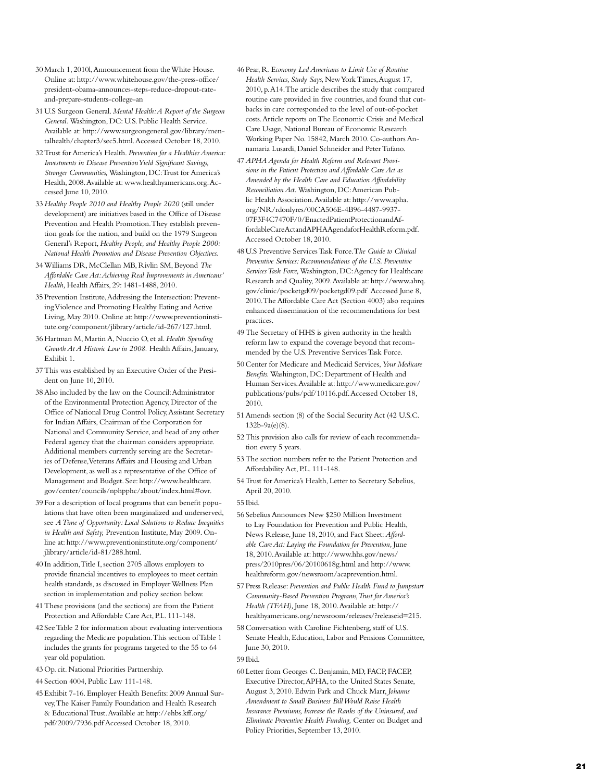- 30 March 1, 2010l, Announcement from the White House. Online at: http://www.whitehouse.gov/the-press-office/ president-obama-announces-steps-reduce-dropout-rateand-prepare-students-college-an
- 31U.S Surgeon General. *Mental Health: A Report of the Surgeon General.* Washington, DC: U.S. Public Health Service. Available at: http://www.surgeongeneral.gov/library/men talhealth/chapter3/sec5.html. Accessed October 18, 2010.
- 32Trust for America's Health. *Prevention for a Healthier America: Investments in Disease Prevention Yield Significant Savings, Stronger Communities,* Washington, DC: Trust for America's Health, 2008. Available at: www.healthyamericans.org. Accessed June 10, 2010.
- 33 *Healthy People 2010 and Healthy People 2020* (still under development) are initiatives based in the Office of Disease Prevention and Health Promotion. They establish preven tion goals for the nation, and build on the 1979 Surgeon General's Report, *Healthy People, and Healthy People 2000: National Health Promotion and Disease Prevention Objectives.*
- 34Williams DR, McClellan MB, Rivlin SM, Beyond *The Affordable Care Act: Achieving Real Improvements in Americans' Health,* Health Affairs, 29: 1481-1488, 2010.
- 35 Prevention Institute, Addressing the Intersection: Prevent ing Violence and Promoting Healthy Eating and Active Living, May 2010. Online at: http://www.preventioninsti tute.org/component/jlibrary/article/id-267/127.html.
- 36Hartman M, Martin A, Nuccio O, et al. *Health Spending Growth At A Historic Low in 2008.* Health Affairs, January, Exhibit 1.
- 37This was established by an Executive Order of the Presi dent on June 10, 2010.
- 38Also included by the law on the Council: Administrator of the Environmental Protection Agency, Director of the Office of National Drug Control Policy, Assistant Secretary for Indian Affairs, Chairman of the Corporation for National and Community Service, and head of any other Federal agency that the chairman considers appropriate. Additional members currently serving are the Secretar ies of Defense, Veterans Affairs and Housing and Urban Development, as well as a representative of the Office of Management and Budget. See: http://www.healthcare. gov/center/councils/nphpphc/about/index.html#ovr.
- 39 For a description of local programs that can benefit popu lations that have often been marginalized and underserved, see *A Time of Opportunity: Local Solutions to Reduce Inequities in Health and Safety,* Prevention Institute, May 2009. On line at: http://www.preventioninstitute.org/component/ jlibrary/article/id-81/288.html.
- 40 In addition, Title I, section 2705 allows employers to provide financial incentives to employees to meet certain health standards, as discussed in Employer Wellness Plan section in implementation and policy section below.
- 41These provisions (and the sections) are from the Patient Protection and Affordable Care Act, P.L. 111-148.
- 42 See Table 2 for information about evaluating interventions regarding the Medicare population. This section of Table 1 includes the grants for programs targeted to the 55 to 64 year old population.
- 43 Op. cit. National Priorities Partnership.
- 44 Section 4004, Public Law 111-148.
- 45 Exhibit 7-16. Employer Health Benefits: 2009 Annual Sur vey, The Kaiser Family Foundation and Health Research & Educational Trust. Available at: http://ehbs.kff.org/ pdf/2009/7936.pdf Accessed October 18, 2010.
- 46 Pear, R. E*conomy Led Americans to Limit Use of Routine Health Services, Study Says,* New York Times, August 17, 2010, p. A14. The article describes the study that compared routine care provided in five countries, and found that cut backs in care corresponded to the level of out-of-pocket costs. Article reports on The Economic Crisis and Medical Care Usage, National Bureau of Economic Research Working Paper No. 15842, March 2010. Co-authors An namaria Lusardi, Daniel Schneider and Peter Tufano.
- 47*APHA Agenda for Health Reform and Relevant Provi sions in the Patient Protection and Affordable Care Act as Amended by the Health Care and Education Affordability Reconciliation Act.* Washington, DC: American Pub lic Health Association. Available at: http://www.apha. org/NR/rdonlyres/00CA506E-4B96-4487-9937- 07F3F4C7470F/0/EnactedPatientProtectionandAffordableCareActandAPHAAgendaforHealthReform.pdf. Accessed October 18, 2010.
- 48U.S Preventive Services Task Force. T*he Guide to Clinical Preventive Services: Recommendations of the U.S. Preventive Services Task Force,* Washington, DC: Agency for Healthcare Research and Quality, 2009. Available at: http://www.ahrq. gov/clinic/pocketgd09/pocketgd09.pdf Accessed June 8, 2010. The Affordable Care Act (Section 4003) also requires enhanced dissemination of the recommendations for best practices.
- 49The Secretary of HHS is given authority in the health reform law to expand the coverage beyond that recom mended by the U.S. Preventive Services Task Force.
- 50 Center for Medicare and Medicaid Services, *Your Medicare Benefits.* Washington, DC: Department of Health and Human Services. Available at: http://www.medicare.gov/ publications/pubs/pdf/10116.pdf. Accessed October 18, 2010.
- 51Amends section (8) of the Social Security Act (42 U.S.C. 132b-9a(e)(8).
- 52This provision also calls for review of each recommenda tion every 5 years.
- 53The section numbers refer to the Patient Protection and Affordability Act, P.L. 111-148.
- 54Trust for America's Health, Letter to Secretary Sebelius, April 20, 2010.
- 55 Ibid.
- 56 Sebelius Announces New \$250 Million Investment to Lay Foundation for Prevention and Public Health, News Release, June 18, 2010, and Fact Sheet: *Afford able Care Act: Laying the Foundation for Prevention,* June 18, 2010. Available at: http://www.hhs.gov/news/ press/2010pres/06/20100618g.html and http://www. healthreform.gov/newsroom/acaprevention.html.
- 57 Press Release: *Prevention and Public Health Fund to Jumpstart Community-Based Prevention Programs, Trust for America's Health (TFAH),* June 18, 2010. Available at: http:// healthyamericans.org/newsroom/releases/?releaseid=215.
- 58 Conversation with Caroline Fichtenberg, staff of U.S. Senate Health, Education, Labor and Pensions Committee, June 30, 2010.
- 59 Ibid.
- 60 Letter from Georges C. Benjamin, MD, FACP, FACEP, Executive Director, APHA, to the United States Senate, August 3, 2010. Edwin Park and Chuck Marr, *Johanns Amendment to Small Business Bill Would Raise Health Insurance Premiums, Increase the Ranks of the Uninsured, and Eliminate Preventive Health Funding,* Center on Budget and Policy Priorities, September 13, 2010.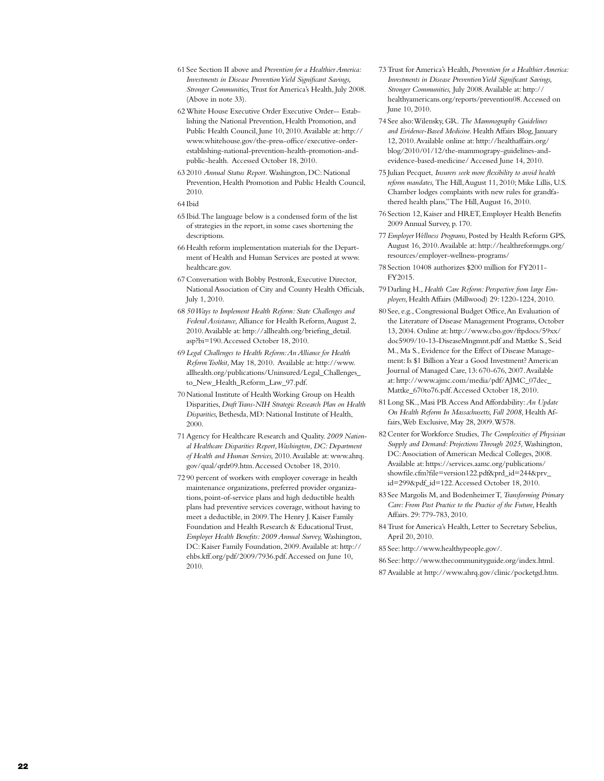- 61 See Section II above and *Prevention for a Healthier America: Investments in Disease Prevention Yield Significant Savings, Stronger Communities,* Trust for America's Health, July 2008. (Above in note 33).
- 62White House Executive Order Executive Order-- Establishing the National Prevention, Health Promotion, and Public Health Council, June 10, 2010. Available at: http:// www.whitehouse.gov/the-press-office/executive-orderestablishing-national-prevention-health-promotion-andpublic-health. Accessed October 18, 2010.
- 63 2010 *Annual Status Report.* Washington, DC: National Prevention, Health Promotion and Public Health Council, 2010.

- 65 Ibid. The language below is a condensed form of the list of strategies in the report, in some cases shortening the descriptions.
- 66Health reform implementation materials for the Department of Health and Human Services are posted at www. healthcare.gov.
- 67 Conversation with Bobby Pestronk, Executive Director, National Association of City and County Health Officials, July 1, 2010.
- 68 *50 Ways to Implement Health Reform: State Challenges and Federal Assistance,* Alliance for Health Reform, August 2, 2010. Available at: http://allhealth.org/briefing\_detail. asp?bi=190. Accessed October 18, 2010.
- 69 *Legal Challenges to Health Reform: An Alliance for Health Reform Toolkit,* May 18, 2010. Available at: http://www. allhealth.org/publications/Uninsured/Legal\_Challenges\_ to\_New\_Health\_Reform\_Law\_97.pdf.
- 70 National Institute of Health Working Group on Health Disparities, *Draft Trans-NIH Strategic Research Plan on Health Disparities,* Bethesda, MD: National Institute of Health, 2000.
- 71Agency for Healthcare Research and Quality. *2009 National Healthcare Disparities Report, Washington, DC: Department of Health and Human Services,* 2010. Available at: www.ahrq. gov/qual/qrdr09.htm. Accessed October 18, 2010.
- 72 90 percent of workers with employer coverage in health maintenance organizations, preferred provider organizations, point-of-service plans and high deductible health plans had preventive services coverage, without having to meet a deductible, in 2009. The Henry J. Kaiser Family Foundation and Health Research & Educational Trust, *Employer Health Benefits: 2009 Annual Survey,* Washington, DC: Kaiser Family Foundation, 2009. Available at: http:// ehbs.kff.org/pdf/2009/7936.pdf. Accessed on June 10, 2010.
- 73Trust for America's Health, *Prevention for a Healthier America: Investments in Disease Prevention Yield Significant Savings, Stronger Communities,* July 2008. Available at: http:// healthyamericans.org/reports/prevention08. Accessed on June 10, 2010.
- 74 See also: Wilensky, GR. *The Mammography Guidelines and Evidence-Based Medicine.* Health Affairs Blog, January 12, 2010. Available online at: http://healthaffairs.org/ blog/2010/01/12/the-mammograpy-guidelines-andevidence-based-medicine/ Accessed June 14, 2010.
- 75 Julian Pecquet, *Insurers seek more flexibility to avoid health reform mandates,* The Hill, August 11, 2010; Mike Lillis, U.S. Chamber lodges complaints with new rules for grandfathered health plans," The Hill, August 16, 2010.
- 76 Section 12, Kaiser and HRET, Employer Health Benefits 2009 Annual Survey, p. 170.
- 77*Employer Wellness Programs,* Posted by Health Reform GPS, August 16, 2010. Available at: http://healthreformgps.org/ resources/employer-wellness-programs/
- 78 Section 10408 authorizes \$200 million for FY2011- FY2015.
- 79 Darling H., *Health Care Reform: Perspective from large Employers,* Health Affairs (Millwood) 29: 1220-1224, 2010.
- 80 See, e.g., Congressional Budget Office, An Evaluation of the Literature of Disease Management Programs, October 13, 2004. Online at: http://www.cbo.gov/ftpdocs/59xx/ doc5909/10-13-DiseaseMngmnt.pdf and Mattke S., Seid M., Ma S., Evidence for the Effect of Disease Management: Is \$1 Billion a Year a Good Investment? American Journal of Managed Care, 13: 670-676, 2007. Available at: http://www.ajmc.com/media/pdf/AJMC\_07dec\_ Mattke\_670to76.pdf. Accessed October 18, 2010.
- 81 Long SK., Masi PB. Access And Affordability: *An Update On Health Reform In Massachusetts, Fall 2008,* Health Affairs, Web Exclusive, May 28, 2009. W578.
- 82 Center for Workforce Studies, *The Complexities of Physician Supply and Demand: Projections Through 2025,* Washington, DC: Association of American Medical Colleges, 2008. Available at: https://services.aamc.org/publications/ showfile.cfm?file=version122.pdf&prd\_id=244&prv\_ id=299&pdf\_id=122. Accessed October 18, 2010.
- 83 See Margolis M, and Bodenheimer T, *Transforming Primary Care: From Past Practice to the Practice of the Future,* Health Affairs. 29: 779-783, 2010.
- 84Trust for America's Health, Letter to Secretary Sebelius, April 20, 2010.

85 See: http://www.healthypeople.gov/.

- 86 See: http://www.thecommunityguide.org/index.html.
- 87Available at http://www.ahrq.gov/clinic/pocketgd.htm.

<sup>64</sup> Ibid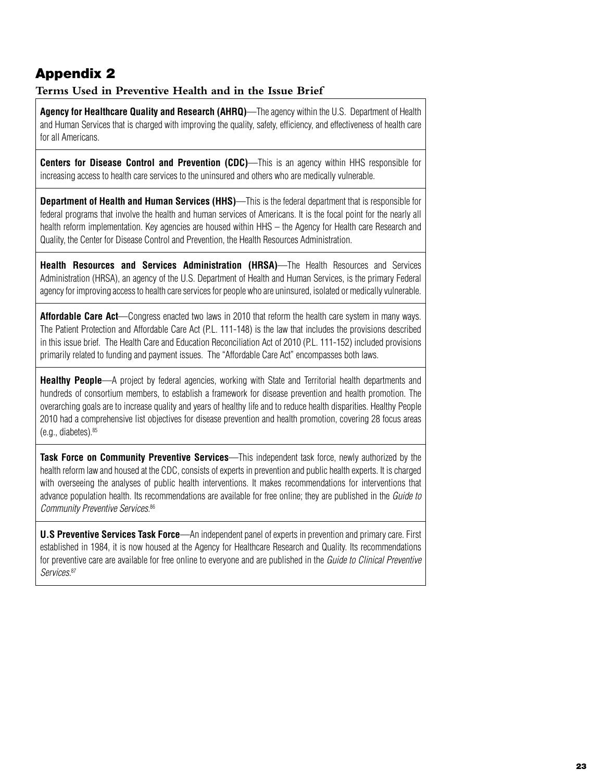## Appendix 2

**Terms Used in Preventive Health and in the Issue Brief**

**Agency for Healthcare Quality and Research (AHRQ)**—The agency within the U.S. Department of Health and Human Services that is charged with improving the quality, safety, efficiency, and effectiveness of health care for all Americans.

**Centers for Disease Control and Prevention (CDC)**—This is an agency within HHS responsible for increasing access to health care services to the uninsured and others who are medically vulnerable.

**Department of Health and Human Services (HHS)**—This is the federal department that is responsible for federal programs that involve the health and human services of Americans. It is the focal point for the nearly all health reform implementation. Key agencies are housed within HHS – the Agency for Health care Research and Quality, the Center for Disease Control and Prevention, the Health Resources Administration.

**Health Resources and Services Administration (HRSA)**—The Health Resources and Services Administration (HRSA), an agency of the U.S. Department of Health and Human Services, is the primary Federal agency for improving access to health care services for people who are uninsured, isolated or medically vulnerable.

**Affordable Care Act**—Congress enacted two laws in 2010 that reform the health care system in many ways. The Patient Protection and Affordable Care Act (P.L. 111-148) is the law that includes the provisions described in this issue brief. The Health Care and Education Reconciliation Act of 2010 (P.L. 111-152) included provisions primarily related to funding and payment issues. The "Affordable Care Act" encompasses both laws.

**Healthy People**—A project by federal agencies, working with State and Territorial health departments and hundreds of consortium members, to establish a framework for disease prevention and health promotion. The overarching goals are to increase quality and years of healthy life and to reduce health disparities. Healthy People 2010 had a comprehensive list objectives for disease prevention and health promotion, covering 28 focus areas  $(e.a., diabetes).<sup>85</sup>$ 

**Task Force on Community Preventive Services**—This independent task force, newly authorized by the health reform law and housed at the CDC, consists of experts in prevention and public health experts. It is charged with overseeing the analyses of public health interventions. It makes recommendations for interventions that advance population health. Its recommendations are available for free online; they are published in the *Guide to Community Preventive Services.*<sup>86</sup>

**U.S Preventive Services Task Force**—An independent panel of experts in prevention and primary care. First established in 1984, it is now housed at the Agency for Healthcare Research and Quality. Its recommendations for preventive care are available for free online to everyone and are published in the *Guide to Clinical Preventive Services.*87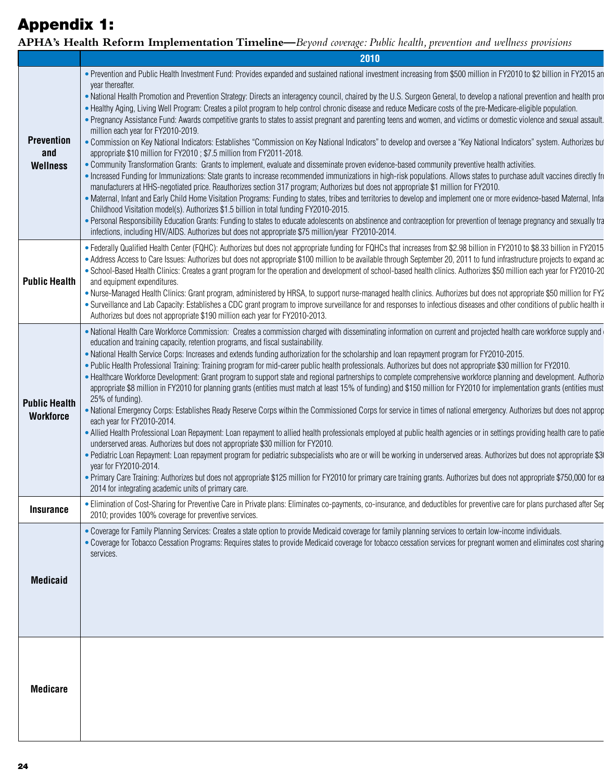# Appendix 1:

**APHA's Health Reform Implementation Timeline—***Beyond coverage: Public health, prevention and wellness provisions*

|                                             | 2010                                                                                                                                                                                                                                                                                                                                                                                                                                                                                                                                                                                                                                                                                                                                                                                                                                                                                                                                                                                                                                                                                                                                                                                                                                                                                                                                                                                                                                                                                                                                                                                                                                                                                                                                                                                                                                                                                                                                      |
|---------------------------------------------|-------------------------------------------------------------------------------------------------------------------------------------------------------------------------------------------------------------------------------------------------------------------------------------------------------------------------------------------------------------------------------------------------------------------------------------------------------------------------------------------------------------------------------------------------------------------------------------------------------------------------------------------------------------------------------------------------------------------------------------------------------------------------------------------------------------------------------------------------------------------------------------------------------------------------------------------------------------------------------------------------------------------------------------------------------------------------------------------------------------------------------------------------------------------------------------------------------------------------------------------------------------------------------------------------------------------------------------------------------------------------------------------------------------------------------------------------------------------------------------------------------------------------------------------------------------------------------------------------------------------------------------------------------------------------------------------------------------------------------------------------------------------------------------------------------------------------------------------------------------------------------------------------------------------------------------------|
| <b>Prevention</b><br>and<br><b>Wellness</b> | • Prevention and Public Health Investment Fund: Provides expanded and sustained national investment increasing from \$500 million in FY2010 to \$2 billion in FY2015 an<br>year thereafter.<br>. National Health Promotion and Prevention Strategy: Directs an interagency council, chaired by the U.S. Surgeon General, to develop a national prevention and health pro<br>. Healthy Aging, Living Well Program: Creates a pilot program to help control chronic disease and reduce Medicare costs of the pre-Medicare-eligible population.<br>. Pregnancy Assistance Fund: Awards competitive grants to states to assist pregnant and parenting teens and women, and victims or domestic violence and sexual assault.<br>million each year for FY2010-2019.<br>. Commission on Key National Indicators: Establishes "Commission on Key National Indicators" to develop and oversee a "Key National Indicators" system. Authorizes bu<br>appropriate \$10 million for FY2010; \$7.5 million from FY2011-2018.<br>. Community Transformation Grants: Grants to implement, evaluate and disseminate proven evidence-based community preventive health activities.<br>• Increased Funding for Immunizations: State grants to increase recommended immunizations in high-risk populations. Allows states to purchase adult vaccines directly from<br>manufacturers at HHS-negotiated price. Reauthorizes section 317 program; Authorizes but does not appropriate \$1 million for FY2010.<br>• Maternal, Infant and Early Child Home Visitation Programs: Funding to states, tribes and territories to develop and implement one or more evidence-based Maternal, Infa<br>Childhood Visitation model(s). Authorizes \$1.5 billion in total funding FY2010-2015.<br>• Personal Responsibility Education Grants: Funding to states to educate adolescents on abstinence and contraception for prevention of teenage pregnancy and sexually tra |
| <b>Public Health</b>                        | infections, including HIV/AIDS. Authorizes but does not appropriate \$75 million/year FY2010-2014.<br>. Federally Qualified Health Center (FQHC): Authorizes but does not appropriate funding for FQHCs that increases from \$2.98 billion in FY2010 to \$8.33 billion in FY2015<br>• Address Access to Care Issues: Authorizes but does not appropriate \$100 million to be available through September 20, 2011 to fund infrastructure projects to expand ad<br>• School-Based Health Clinics: Creates a grant program for the operation and development of school-based health clinics. Authorizes \$50 million each year for FY2010-20<br>and equipment expenditures.<br>. Nurse-Managed Health Clinics: Grant program, administered by HRSA, to support nurse-managed health clinics. Authorizes but does not appropriate \$50 million for FY2<br>. Surveillance and Lab Capacity: Establishes a CDC grant program to improve surveillance for and responses to infectious diseases and other conditions of public health i<br>Authorizes but does not appropriate \$190 million each year for FY2010-2013.                                                                                                                                                                                                                                                                                                                                                                                                                                                                                                                                                                                                                                                                                                                                                                                                                          |
| <b>Public Health</b><br>Workforce           | . National Health Care Workforce Commission: Creates a commission charged with disseminating information on current and projected health care workforce supply and<br>education and training capacity, retention programs, and fiscal sustainability.<br>. National Health Service Corps: Increases and extends funding authorization for the scholarship and loan repayment program for FY2010-2015.<br>. Public Health Professional Training: Training program for mid-career public health professionals. Authorizes but does not appropriate \$30 million for FY2010.<br>• Healthcare Workforce Development: Grant program to support state and regional partnerships to complete comprehensive workforce planning and development. Authoriz<br>appropriate \$8 million in FY2010 for planning grants (entities must match at least 15% of funding) and \$150 million for FY2010 for implementation grants (entities must<br>25% of funding).<br>. National Emergency Corps: Establishes Ready Reserve Corps within the Commissioned Corps for service in times of national emergency. Authorizes but does not approp<br>each year for FY2010-2014.<br>. Allied Health Professional Loan Repayment: Loan repayment to allied health professionals employed at public health agencies or in settings providing health care to patie<br>underserved areas. Authorizes but does not appropriate \$30 million for FY2010.<br>• Pediatric Loan Repayment: Loan repayment program for pediatric subspecialists who are or will be working in underserved areas. Authorizes but does not appropriate \$3<br>year for FY2010-2014.<br>• Primary Care Training: Authorizes but does not appropriate \$125 million for FY2010 for primary care training grants. Authorizes but does not appropriate \$750,000 for ea<br>2014 for integrating academic units of primary care.                                                                    |
| <b>Insurance</b>                            | • Elimination of Cost-Sharing for Preventive Care in Private plans: Eliminates co-payments, co-insurance, and deductibles for preventive care for plans purchased after Seg<br>2010; provides 100% coverage for preventive services.                                                                                                                                                                                                                                                                                                                                                                                                                                                                                                                                                                                                                                                                                                                                                                                                                                                                                                                                                                                                                                                                                                                                                                                                                                                                                                                                                                                                                                                                                                                                                                                                                                                                                                      |
| <b>Medicaid</b>                             | . Coverage for Family Planning Services: Creates a state option to provide Medicaid coverage for family planning services to certain low-income individuals.<br>• Coverage for Tobacco Cessation Programs: Requires states to provide Medicaid coverage for tobacco cessation services for pregnant women and eliminates cost sharing<br>services.                                                                                                                                                                                                                                                                                                                                                                                                                                                                                                                                                                                                                                                                                                                                                                                                                                                                                                                                                                                                                                                                                                                                                                                                                                                                                                                                                                                                                                                                                                                                                                                        |
| <b>Medicare</b>                             |                                                                                                                                                                                                                                                                                                                                                                                                                                                                                                                                                                                                                                                                                                                                                                                                                                                                                                                                                                                                                                                                                                                                                                                                                                                                                                                                                                                                                                                                                                                                                                                                                                                                                                                                                                                                                                                                                                                                           |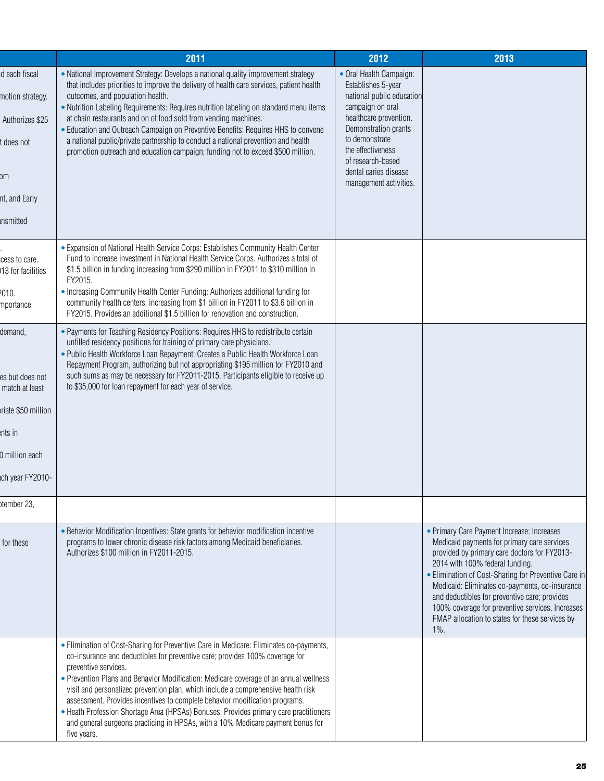|                                                                                                                                            | 2011                                                     |                                                                                                                                                                                                                                                                                                                                                                                                                                                                                                                                                                                                                 | 2012                                                                                                                                                                                                                                                            |         | 2013                                                                                                                                                                                                                                                                                                                                                                                                                                           |  |
|--------------------------------------------------------------------------------------------------------------------------------------------|----------------------------------------------------------|-----------------------------------------------------------------------------------------------------------------------------------------------------------------------------------------------------------------------------------------------------------------------------------------------------------------------------------------------------------------------------------------------------------------------------------------------------------------------------------------------------------------------------------------------------------------------------------------------------------------|-----------------------------------------------------------------------------------------------------------------------------------------------------------------------------------------------------------------------------------------------------------------|---------|------------------------------------------------------------------------------------------------------------------------------------------------------------------------------------------------------------------------------------------------------------------------------------------------------------------------------------------------------------------------------------------------------------------------------------------------|--|
| d each fiscal<br>outcomes, and population health.<br>motion strategy.<br>Authorizes \$25<br>t does not<br>om<br>nt, and Early<br>ınsmitted |                                                          | • National Improvement Strategy: Develops a national quality improvement strategy<br>that includes priorities to improve the delivery of health care services, patient health<br>. Nutrition Labeling Requirements: Requires nutrition labeling on standard menu items<br>at chain restaurants and on of food sold from vending machines.<br>• Education and Outreach Campaign on Preventive Benefits: Requires HHS to convene<br>a national public/private partnership to conduct a national prevention and health<br>promotion outreach and education campaign; funding not to exceed \$500 million.          | • Oral Health Campaign:<br>Establishes 5-year<br>national public education<br>campaign on oral<br>healthcare prevention.<br>Demonstration grants<br>to demonstrate<br>the effectiveness<br>of research-based<br>dental caries disease<br>management activities. |         |                                                                                                                                                                                                                                                                                                                                                                                                                                                |  |
| cess to care.<br>13 for facilities<br>FY2015.<br>2010.<br>mportance.                                                                       |                                                          | • Expansion of National Health Service Corps: Establishes Community Health Center<br>Fund to increase investment in National Health Service Corps. Authorizes a total of<br>\$1.5 billion in funding increasing from \$290 million in FY2011 to \$310 million in<br>• Increasing Community Health Center Funding: Authorizes additional funding for<br>community health centers, increasing from \$1 billion in FY2011 to \$3.6 billion in<br>FY2015. Provides an additional \$1.5 billion for renovation and construction.                                                                                     |                                                                                                                                                                                                                                                                 |         |                                                                                                                                                                                                                                                                                                                                                                                                                                                |  |
| demand,<br>es but does not<br>match at least<br>riate \$50 million<br>nts in<br>0 million each<br>ch year FY2010-                          | to \$35,000 for loan repayment for each year of service. | . Payments for Teaching Residency Positions: Requires HHS to redistribute certain<br>unfilled residency positions for training of primary care physicians.<br>. Public Health Workforce Loan Repayment: Creates a Public Health Workforce Loan<br>Repayment Program, authorizing but not appropriating \$195 million for FY2010 and<br>such sums as may be necessary for FY2011-2015. Participants eligible to receive up                                                                                                                                                                                       |                                                                                                                                                                                                                                                                 |         |                                                                                                                                                                                                                                                                                                                                                                                                                                                |  |
| stember 23,<br>for these<br>Authorizes \$100 million in FY2011-2015.                                                                       |                                                          | . Behavior Modification Incentives: State grants for behavior modification incentive<br>programs to lower chronic disease risk factors among Medicaid beneficiaries.                                                                                                                                                                                                                                                                                                                                                                                                                                            |                                                                                                                                                                                                                                                                 | $1\%$ . | • Primary Care Payment Increase: Increases<br>Medicaid payments for primary care services<br>provided by primary care doctors for FY2013-<br>2014 with 100% federal funding.<br>• Elimination of Cost-Sharing for Preventive Care in<br>Medicaid: Eliminates co-payments, co-insurance<br>and deductibles for preventive care; provides<br>100% coverage for preventive services. Increases<br>FMAP allocation to states for these services by |  |
| preventive services.<br>five years.                                                                                                        |                                                          | • Elimination of Cost-Sharing for Preventive Care in Medicare: Eliminates co-payments,<br>co-insurance and deductibles for preventive care; provides 100% coverage for<br>• Prevention Plans and Behavior Modification: Medicare coverage of an annual wellness<br>visit and personalized prevention plan, which include a comprehensive health risk<br>assessment. Provides incentives to complete behavior modification programs.<br>• Heath Profession Shortage Area (HPSAs) Bonuses: Provides primary care practitioners<br>and general surgeons practicing in HPSAs, with a 10% Medicare payment bonus for |                                                                                                                                                                                                                                                                 |         |                                                                                                                                                                                                                                                                                                                                                                                                                                                |  |